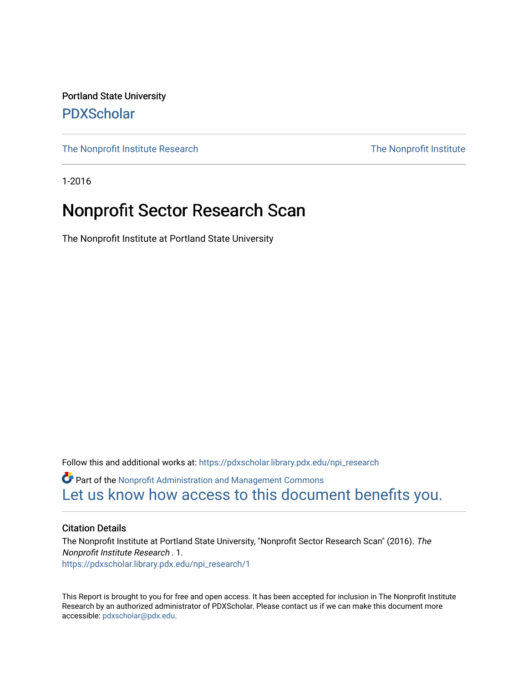Portland State University [PDXScholar](https://pdxscholar.library.pdx.edu/)

[The Nonprofit Institute Research](https://pdxscholar.library.pdx.edu/npi_research) The Nonprofit Institute

1-2016

### Nonprofit Sector Research Scan

The Nonprofit Institute at Portland State University

Follow this and additional works at: [https://pdxscholar.library.pdx.edu/npi\\_research](https://pdxscholar.library.pdx.edu/npi_research?utm_source=pdxscholar.library.pdx.edu%2Fnpi_research%2F1&utm_medium=PDF&utm_campaign=PDFCoverPages)  Part of the [Nonprofit Administration and Management Commons](http://network.bepress.com/hgg/discipline/1228?utm_source=pdxscholar.library.pdx.edu%2Fnpi_research%2F1&utm_medium=PDF&utm_campaign=PDFCoverPages)  [Let us know how access to this document benefits you.](http://library.pdx.edu/services/pdxscholar-services/pdxscholar-feedback/?ref=https://pdxscholar.library.pdx.edu/npi_research/1) 

#### Citation Details

The Nonprofit Institute at Portland State University, "Nonprofit Sector Research Scan" (2016). The Nonprofit Institute Research . 1. [https://pdxscholar.library.pdx.edu/npi\\_research/1](https://pdxscholar.library.pdx.edu/npi_research/1?utm_source=pdxscholar.library.pdx.edu%2Fnpi_research%2F1&utm_medium=PDF&utm_campaign=PDFCoverPages) 

This Report is brought to you for free and open access. It has been accepted for inclusion in The Nonprofit Institute Research by an authorized administrator of PDXScholar. Please contact us if we can make this document more accessible: [pdxscholar@pdx.edu.](mailto:pdxscholar@pdx.edu)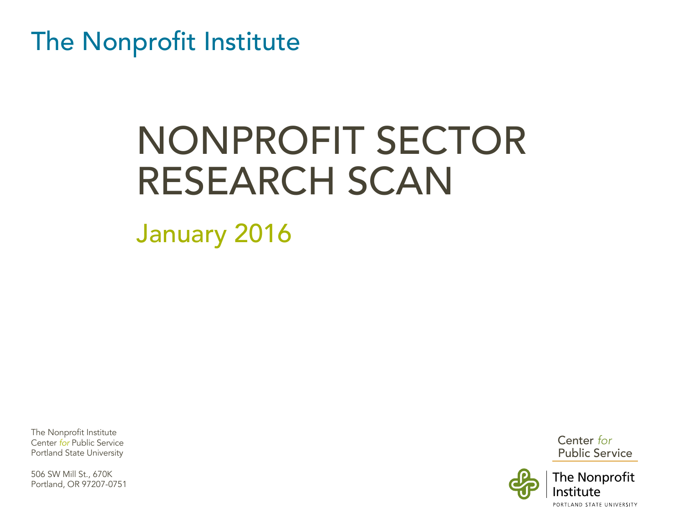The Nonprofit Institute

# NONPROFIT SECTOR RESEARCH SCAN

January 2016

The Nonprofit Institute Center *for* Public Service Portland State University

506 SW Mill St., 670K Portland, OR 97207-0751 Center for Public Service

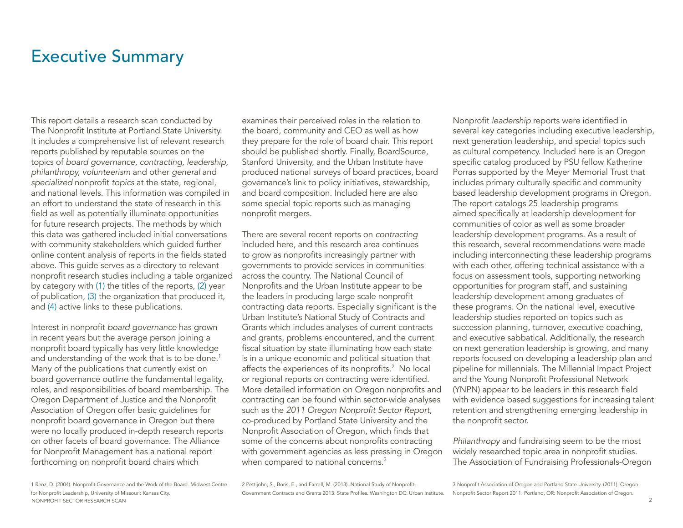### <span id="page-2-0"></span>Executive Summary

This report details a research scan conducted by The Nonprofit Institute at Portland State University. It includes a comprehensive list of relevant research reports published by reputable sources on the topics of *board governance, contracting, leadership, philanthropy, volunteerism* and other *general* and *specialized* nonprofit *topics* at the state, regional, and national levels. This information was compiled in an effort to understand the state of research in this field as well as potentially illuminate opportunities for future research projects. The methods by which this data was gathered included initial conversations with community stakeholders which guided further online content analysis of reports in the fields stated above. This guide serves as a directory to relevant nonprofit research studies including a table organized by category with (1) the titles of the reports, (2) year of publication, (3) the organization that produced it, and (4) active links to these publications.

Interest in nonprofit *board governance* has grown in recent years but the average person joining a nonprofit board typically has very little knowledge and understanding of the work that is to be done.<sup>1</sup> Many of the publications that currently exist on board governance outline the fundamental legality, roles, and responsibilities of board membership. The Oregon Department of Justice and the Nonprofit Association of Oregon offer basic guidelines for nonprofit board governance in Oregon but there were no locally produced in-depth research reports on other facets of board governance. The Alliance for Nonprofit Management has a national report forthcoming on nonprofit board chairs which

examines their perceived roles in the relation to the board, community and CEO as well as how they prepare for the role of board chair. This report should be published shortly. Finally, BoardSource, Stanford University, and the Urban Institute have produced national surveys of board practices, board governance's link to policy initiatives, stewardship, and board composition. Included here are also some special topic reports such as managing nonprofit mergers.

There are several recent reports on *contracting* included here, and this research area continues to grow as nonprofits increasingly partner with governments to provide services in communities across the country. The National Council of Nonprofits and the Urban Institute appear to be the leaders in producing large scale nonprofit contracting data reports. Especially significant is the Urban Institute's National Study of Contracts and Grants which includes analyses of current contracts and grants, problems encountered, and the current fiscal situation by state illuminating how each state is in a unique economic and political situation that affects the experiences of its nonprofits. $2$  No local or regional reports on contracting were identified. More detailed information on Oregon nonprofits and contracting can be found within sector-wide analyses such as the 2011 Oregon Nonprofit Sector Report, co-produced by Portland State University and the Nonprofit Association of Oregon, which finds that some of the concerns about nonprofits contracting with government agencies as less pressing in Oregon when compared to national concerns. $^3$ 

Nonprofit *leadership* reports were identified in several key categories including executive leadership, next generation leadership, and special topics such as cultural competency. Included here is an Oregon specific catalog produced by PSU fellow Katherine Porras supported by the Meyer Memorial Trust that includes primary culturally specific and community based leadership development programs in Oregon. The report catalogs 25 leadership programs aimed specifically at leadership development for communities of color as well as some broader leadership development programs. As a result of this research, several recommendations were made including interconnecting these leadership programs with each other, offering technical assistance with a focus on assessment tools, supporting networking opportunities for program staff, and sustaining leadership development among graduates of these programs. On the national level, executive leadership studies reported on topics such as succession planning, turnover, executive coaching, and executive sabbatical. Additionally, the research on next generation leadership is growing, and many reports focused on developing a leadership plan and pipeline for millennials. The Millennial Impact Project and the Young Nonprofit Professional Network (YNPN) appear to be leaders in this research field with evidence based suggestions for increasing talent retention and strengthening emerging leadership in the nonprofit sector.

*Philanthropy* and fundraising seem to be the most widely researched topic area in nonprofit studies. The Association of Fundraising Professionals-Oregon

NONPROFIT SECTOR RESEARCH SCAN 2 1 Renz, D. (2004). Nonprofit Governance and the Work of the Board. Midwest Centre for Nonprofit Leadership, University of Missouri: Kansas City.

2 Pettijohn, S., Boris, E., and Farrell, M. (2013). National Study of Nonprofit-Government Contracts and Grants 2013: State Profiles. Washington DC: Urban Institute.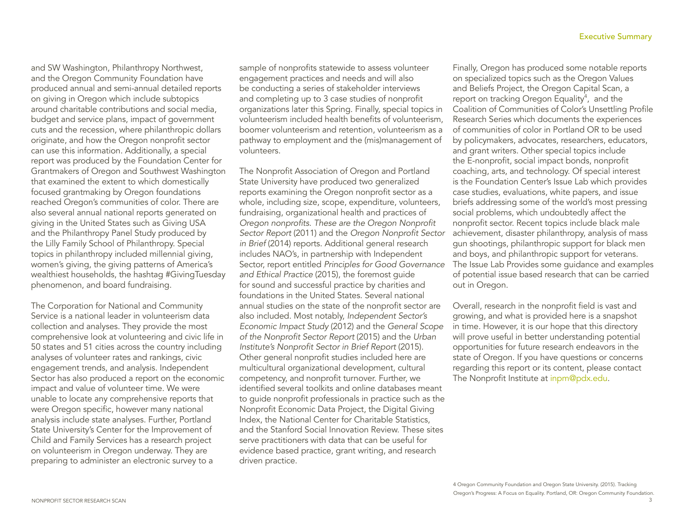and SW Washington, Philanthropy Northwest, and the Oregon Community Foundation have produced annual and semi-annual detailed reports on giving in Oregon which include subtopics around charitable contributions and social media, budget and service plans, impact of government cuts and the recession, where philanthropic dollars originate, and how the Oregon nonprofit sector can use this information. Additionally, a special report was produced by the Foundation Center for Grantmakers of Oregon and Southwest Washington that examined the extent to which domestically focused grantmaking by Oregon foundations reached Oregon's communities of color. There are also several annual national reports generated on giving in the United States such as Giving USA and the Philanthropy Panel Study produced by the Lilly Family School of Philanthropy. Special topics in philanthropy included millennial giving, women's giving, the giving patterns of America's wealthiest households, the hashtag #GivingTuesday phenomenon, and board fundraising.

The Corporation for National and Community Service is a national leader in volunteerism data collection and analyses. They provide the most comprehensive look at volunteering and civic life in 50 states and 51 cities across the country including analyses of volunteer rates and rankings, civic engagement trends, and analysis. Independent Sector has also produced a report on the economic impact and value of volunteer time. We were unable to locate any comprehensive reports that were Oregon specific, however many national analysis include state analyses. Further, Portland State University's Center for the Improvement of Child and Family Services has a research project on volunteerism in Oregon underway. They are preparing to administer an electronic survey to a

sample of nonprofits statewide to assess volunteer engagement practices and needs and will also be conducting a series of stakeholder interviews and completing up to 3 case studies of nonprofit organizations later this Spring. Finally, special topics in volunteerism included health benefits of volunteerism, boomer volunteerism and retention, volunteerism as a pathway to employment and the (mis)management of volunteers.

The Nonprofit Association of Oregon and Portland State University have produced two generalized reports examining the Oregon nonprofit sector as a whole, including size, scope, expenditure, volunteers, fundraising, organizational health and practices of Oregon nonprofits. These are the Oregon Nonprofit Sector Report (2011) and the Oregon Nonprofit Sector *in Brief* (2014) reports. Additional general research includes NAO's, in partnership with Independent Sector, report entitled *Principles for Good Governance and Ethical Practice* (2015), the foremost guide for sound and successful practice by charities and foundations in the United States. Several national annual studies on the state of the nonprofit sector are also included. Most notably, Independent Sector's Economic Impact Study (2012) and the General Scope of the Nonprofit Sector Report (2015) and the *Urban*  Institute's Nonprofit Sector in Brief Report (2015). Other general nonprofit studies included here are multicultural organizational development, cultural competency, and nonprofit turnover. Further, we identified several toolkits and online databases meant to guide nonprofit professionals in practice such as the Nonprofit Economic Data Project, the Digital Giving Index, the National Center for Charitable Statistics, and the Stanford Social Innovation Review. These sites serve practitioners with data that can be useful for evidence based practice, grant writing, and research driven practice.

Finally, Oregon has produced some notable reports on specialized topics such as the Oregon Values and Beliefs Project, the Oregon Capital Scan, a report on tracking Oregon Equality<sup>4</sup>, and the Coalition of Communities of Color's Unsettling Profile Research Series which documents the experiences of communities of color in Portland OR to be used by policymakers, advocates, researchers, educators, and grant writers. Other special topics include the E-nonprofit, social impact bonds, nonprofit coaching, arts, and technology. Of special interest is the Foundation Center's Issue Lab which provides case studies, evaluations, white papers, and issue briefs addressing some of the world's most pressing social problems, which undoubtedly affect the nonprofit sector. Recent topics include black male achievement, disaster philanthropy, analysis of mass gun shootings, philanthropic support for black men and boys, and philanthropic support for veterans. The Issue Lab Provides some guidance and examples of potential issue based research that can be carried out in Oregon.

Overall, research in the nonprofit field is vast and growing, and what is provided here is a snapshot in time. However, it is our hope that this directory will prove useful in better understanding potential opportunities for future research endeavors in the state of Oregon. If you have questions or concerns regarding this report or its content, please contact The Nonprofit Institute at inpm@pdx.edu.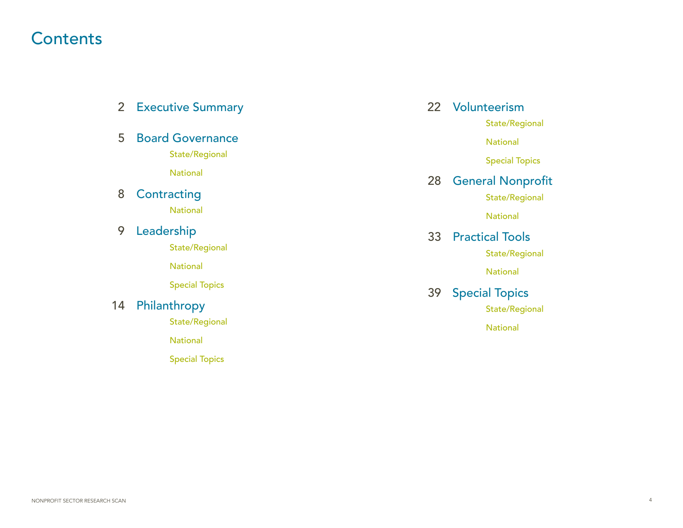### **Contents**

| $\overline{2}$ | <b>Executive Summary</b> |    | 22 Volunteerism                         |
|----------------|--------------------------|----|-----------------------------------------|
|                |                          |    | State/Regional                          |
| 5              | <b>Board Governance</b>  |    | <b>National</b>                         |
|                | State/Regional           |    | <b>Special Topics</b>                   |
|                | <b>National</b>          | 28 | <b>General Nonprofit</b>                |
| 8              | Contracting              |    | State/Regional                          |
|                | <b>National</b>          |    | <b>National</b>                         |
| 9              | Leadership               | 33 | <b>Practical Tools</b>                  |
|                | State/Regional           |    | State/Regional                          |
|                | <b>National</b>          |    | <b>National</b>                         |
|                | <b>Special Topics</b>    |    |                                         |
| 14             | Philanthropy             | 39 | <b>Special Topics</b><br>State/Regional |
|                | State/Regional           |    | <b>National</b>                         |
|                | <b>National</b>          |    |                                         |
|                | <b>Special Topics</b>    |    |                                         |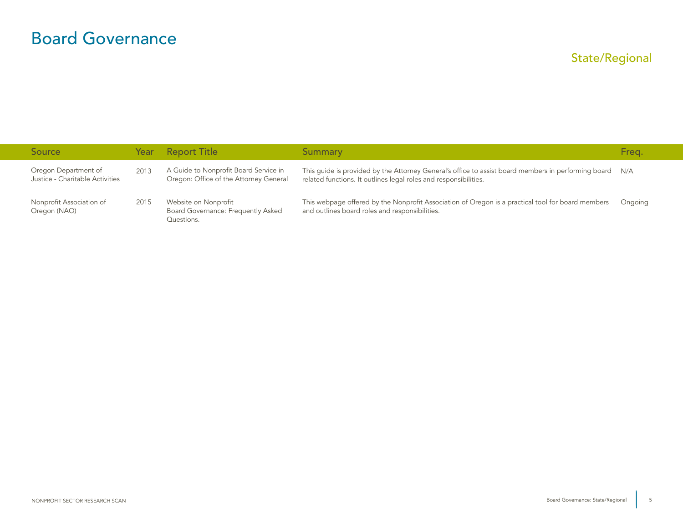### <span id="page-5-0"></span>Board Governance

| <b>Source</b>                                           |      | Year Report Title                                                               | Summary                                                                                                                                                                 | Freq.   |
|---------------------------------------------------------|------|---------------------------------------------------------------------------------|-------------------------------------------------------------------------------------------------------------------------------------------------------------------------|---------|
| Oregon Department of<br>Justice - Charitable Activities | 2013 | A Guide to Nonprofit Board Service in<br>Oregon: Office of the Attorney General | This guide is provided by the Attorney General's office to assist board members in performing board<br>related functions. It outlines legal roles and responsibilities. | N/A     |
| Nonprofit Association of<br>Oregon (NAO)                | 2015 | Website on Nonprofit<br>Board Governance: Frequently Asked<br>Questions.        | This webpage offered by the Nonprofit Association of Oregon is a practical tool for board members<br>and outlines board roles and responsibilities.                     | Ongoing |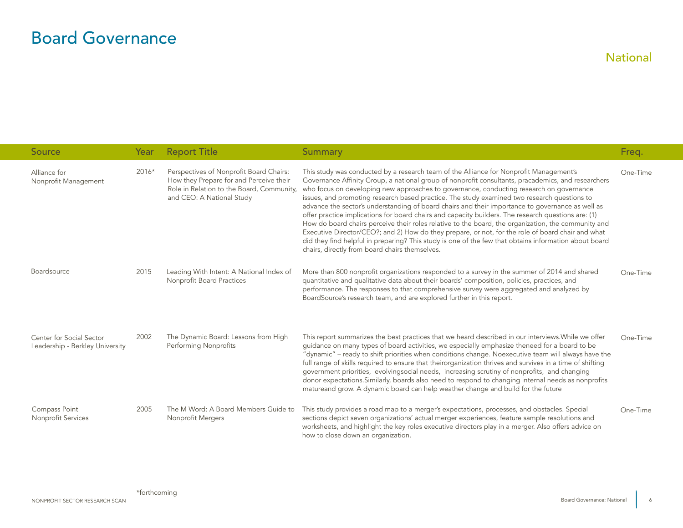### <span id="page-6-0"></span>Board Governance

| Source                                                      | Year  | <b>Report Title</b>                                                                                                                                          | Summary                                                                                                                                                                                                                                                                                                                                                                                                                                                                                                                                                                                                                                                                                                                                                                                                                                                                                                                                                                  | Freq.    |
|-------------------------------------------------------------|-------|--------------------------------------------------------------------------------------------------------------------------------------------------------------|--------------------------------------------------------------------------------------------------------------------------------------------------------------------------------------------------------------------------------------------------------------------------------------------------------------------------------------------------------------------------------------------------------------------------------------------------------------------------------------------------------------------------------------------------------------------------------------------------------------------------------------------------------------------------------------------------------------------------------------------------------------------------------------------------------------------------------------------------------------------------------------------------------------------------------------------------------------------------|----------|
| Alliance for<br>Nonprofit Management                        | 2016* | Perspectives of Nonprofit Board Chairs:<br>How they Prepare for and Perceive their<br>Role in Relation to the Board, Community,<br>and CEO: A National Study | This study was conducted by a research team of the Alliance for Nonprofit Management's<br>Governance Affinity Group, a national group of nonprofit consultants, pracademics, and researchers<br>who focus on developing new approaches to governance, conducting research on governance<br>issues, and promoting research based practice. The study examined two research questions to<br>advance the sector's understanding of board chairs and their importance to governance as well as<br>offer practice implications for board chairs and capacity builders. The research questions are: (1)<br>How do board chairs perceive their roles relative to the board, the organization, the community and<br>Executive Director/CEO?; and 2) How do they prepare, or not, for the role of board chair and what<br>did they find helpful in preparing? This study is one of the few that obtains information about board<br>chairs, directly from board chairs themselves. | One-Time |
| Boardsource                                                 | 2015  | Leading With Intent: A National Index of<br>Nonprofit Board Practices                                                                                        | More than 800 nonprofit organizations responded to a survey in the summer of 2014 and shared<br>quantitative and qualitative data about their boards' composition, policies, practices, and<br>performance. The responses to that comprehensive survey were aggregated and analyzed by<br>BoardSource's research team, and are explored further in this report.                                                                                                                                                                                                                                                                                                                                                                                                                                                                                                                                                                                                          | One-Time |
| Center for Social Sector<br>Leadership - Berkley University | 2002  | The Dynamic Board: Lessons from High<br>Performing Nonprofits                                                                                                | This report summarizes the best practices that we heard described in our interviews. While we offer<br>guidance on many types of board activities, we especially emphasize theneed for a board to be<br>"dynamic" - ready to shift priorities when conditions change. Noexecutive team will always have the<br>full range of skills required to ensure that theirorganization thrives and survives in a time of shifting<br>government priorities, evolvingsocial needs, increasing scrutiny of nonprofits, and changing<br>donor expectations. Similarly, boards also need to respond to changing internal needs as nonprofits<br>matureand grow. A dynamic board can help weather change and build for the future                                                                                                                                                                                                                                                      | One-Time |
| Compass Point<br>Nonprofit Services                         | 2005  | The M Word: A Board Members Guide to<br><b>Nonprofit Mergers</b>                                                                                             | This study provides a road map to a merger's expectations, processes, and obstacles. Special<br>sections depict seven organizations' actual merger experiences, feature sample resolutions and<br>worksheets, and highlight the key roles executive directors play in a merger. Also offers advice on<br>how to close down an organization.                                                                                                                                                                                                                                                                                                                                                                                                                                                                                                                                                                                                                              | One-Time |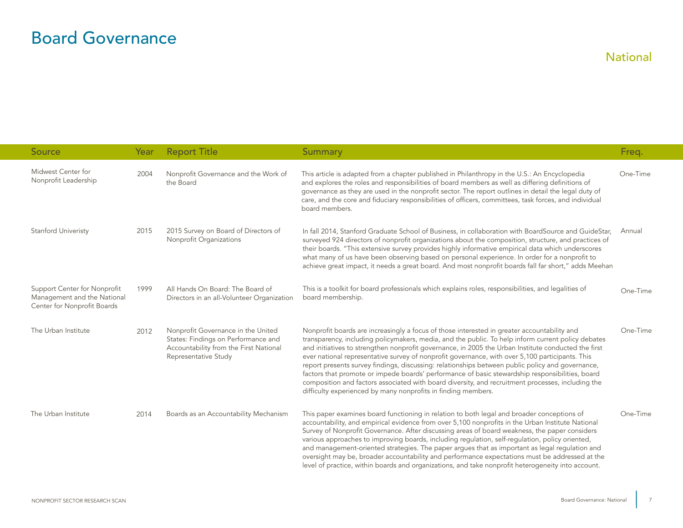### Board Governance

| Source                                                                                     | Year | <b>Report Title</b>                                                                                                                         | <b>Summary</b>                                                                                                                                                                                                                                                                                                                                                                                                                                                                                                                                                                                                                                                                                                                                                                           | Freq.    |
|--------------------------------------------------------------------------------------------|------|---------------------------------------------------------------------------------------------------------------------------------------------|------------------------------------------------------------------------------------------------------------------------------------------------------------------------------------------------------------------------------------------------------------------------------------------------------------------------------------------------------------------------------------------------------------------------------------------------------------------------------------------------------------------------------------------------------------------------------------------------------------------------------------------------------------------------------------------------------------------------------------------------------------------------------------------|----------|
| Midwest Center for<br>Nonprofit Leadership                                                 | 2004 | Nonprofit Governance and the Work of<br>the Board                                                                                           | This article is adapted from a chapter published in Philanthropy in the U.S.: An Encyclopedia<br>and explores the roles and responsibilities of board members as well as differing definitions of<br>governance as they are used in the nonprofit sector. The report outlines in detail the legal duty of<br>care, and the core and fiduciary responsibilities of officers, committees, task forces, and individual<br>board members.                                                                                                                                                                                                                                                                                                                                                    | One-Time |
| Stanford Univeristy                                                                        | 2015 | 2015 Survey on Board of Directors of<br>Nonprofit Organizations                                                                             | In fall 2014, Stanford Graduate School of Business, in collaboration with BoardSource and GuideStar,<br>surveyed 924 directors of nonprofit organizations about the composition, structure, and practices of<br>their boards. "This extensive survey provides highly informative empirical data which underscores<br>what many of us have been observing based on personal experience. In order for a nonprofit to<br>achieve great impact, it needs a great board. And most nonprofit boards fall far short," adds Meehan                                                                                                                                                                                                                                                               | Annual   |
| Support Center for Nonprofit<br>Management and the National<br>Center for Nonprofit Boards | 1999 | All Hands On Board: The Board of<br>Directors in an all-Volunteer Organization                                                              | This is a toolkit for board professionals which explains roles, responsibilities, and legalities of<br>board membership.                                                                                                                                                                                                                                                                                                                                                                                                                                                                                                                                                                                                                                                                 | One-Time |
| The Urban Institute                                                                        | 2012 | Nonprofit Governance in the United<br>States: Findings on Performance and<br>Accountability from the First National<br>Representative Study | Nonprofit boards are increasingly a focus of those interested in greater accountability and<br>transparency, including policymakers, media, and the public. To help inform current policy debates<br>and initiatives to strengthen nonprofit governance, in 2005 the Urban Institute conducted the first<br>ever national representative survey of nonprofit governance, with over 5,100 participants. This<br>report presents survey findings, discussing: relationships between public policy and governance,<br>factors that promote or impede boards' performance of basic stewardship responsibilities, board<br>composition and factors associated with board diversity, and recruitment processes, including the<br>difficulty experienced by many nonprofits in finding members. | One-Time |
| The Urban Institute                                                                        | 2014 | Boards as an Accountability Mechanism                                                                                                       | This paper examines board functioning in relation to both legal and broader conceptions of<br>accountability, and empirical evidence from over 5,100 nonprofits in the Urban Institute National<br>Survey of Nonprofit Governance. After discussing areas of board weakness, the paper considers<br>various approaches to improving boards, including regulation, self-regulation, policy oriented,<br>and management-oriented strategies. The paper argues that as important as legal regulation and<br>oversight may be, broader accountability and performance expectations must be addressed at the<br>level of practice, within boards and organizations, and take nonprofit heterogeneity into account.                                                                            | One-Time |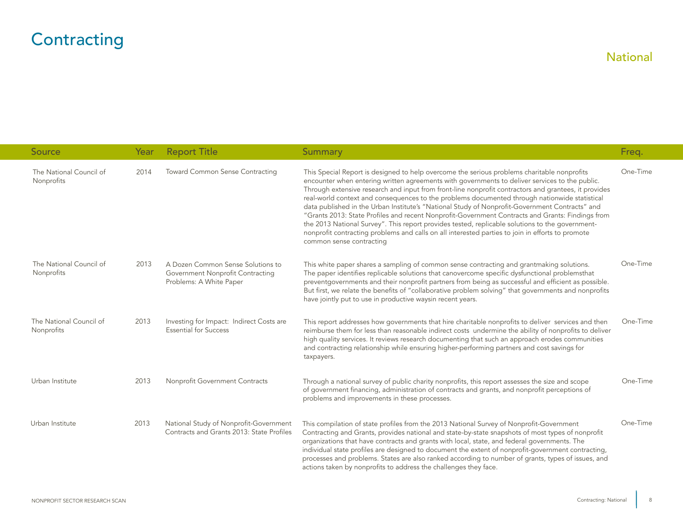# <span id="page-8-0"></span>**Contracting**

| Source                                | Year | <b>Report Title</b>                                                                              | <b>Summary</b>                                                                                                                                                                                                                                                                                                                                                                                                                                                                                                                                                                                                                                                                                                                                                                                                                                  | Freq.    |
|---------------------------------------|------|--------------------------------------------------------------------------------------------------|-------------------------------------------------------------------------------------------------------------------------------------------------------------------------------------------------------------------------------------------------------------------------------------------------------------------------------------------------------------------------------------------------------------------------------------------------------------------------------------------------------------------------------------------------------------------------------------------------------------------------------------------------------------------------------------------------------------------------------------------------------------------------------------------------------------------------------------------------|----------|
| The National Council of<br>Nonprofits | 2014 | Toward Common Sense Contracting                                                                  | This Special Report is designed to help overcome the serious problems charitable nonprofits<br>encounter when entering written agreements with governments to deliver services to the public.<br>Through extensive research and input from front-line nonprofit contractors and grantees, it provides<br>real-world context and consequences to the problems documented through nationwide statistical<br>data published in the Urban Institute's "National Study of Nonprofit-Government Contracts" and<br>"Grants 2013: State Profiles and recent Nonprofit-Government Contracts and Grants: Findings from<br>the 2013 National Survey". This report provides tested, replicable solutions to the government-<br>nonprofit contracting problems and calls on all interested parties to join in efforts to promote<br>common sense contracting | One-Time |
| The National Council of<br>Nonprofits | 2013 | A Dozen Common Sense Solutions to<br>Government Nonprofit Contracting<br>Problems: A White Paper | This white paper shares a sampling of common sense contracting and grantmaking solutions.<br>The paper identifies replicable solutions that canovercome specific dysfunctional problemsthat<br>preventgovernments and their nonprofit partners from being as successful and efficient as possible.<br>But first, we relate the benefits of "collaborative problem solving" that governments and nonprofits<br>have jointly put to use in productive waysin recent years.                                                                                                                                                                                                                                                                                                                                                                        | One-Time |
| The National Council of<br>Nonprofits | 2013 | Investing for Impact: Indirect Costs are<br><b>Essential for Success</b>                         | This report addresses how governments that hire charitable nonprofits to deliver services and then<br>reimburse them for less than reasonable indirect costs undermine the ability of nonprofits to deliver<br>high quality services. It reviews research documenting that such an approach erodes communities<br>and contracting relationship while ensuring higher-performing partners and cost savings for<br>taxpayers.                                                                                                                                                                                                                                                                                                                                                                                                                     | One-Time |
| Urban Institute                       | 2013 | Nonprofit Government Contracts                                                                   | Through a national survey of public charity nonprofits, this report assesses the size and scope<br>of government financing, administration of contracts and grants, and nonprofit perceptions of<br>problems and improvements in these processes.                                                                                                                                                                                                                                                                                                                                                                                                                                                                                                                                                                                               | One-Time |
| Urban Institute                       | 2013 | National Study of Nonprofit-Government<br>Contracts and Grants 2013: State Profiles              | This compilation of state profiles from the 2013 National Survey of Nonprofit-Government<br>Contracting and Grants, provides national and state-by-state snapshots of most types of nonprofit<br>organizations that have contracts and grants with local, state, and federal governments. The<br>individual state profiles are designed to document the extent of nonprofit-government contracting,<br>processes and problems. States are also ranked according to number of grants, types of issues, and<br>actions taken by nonprofits to address the challenges they face.                                                                                                                                                                                                                                                                   | One-Time |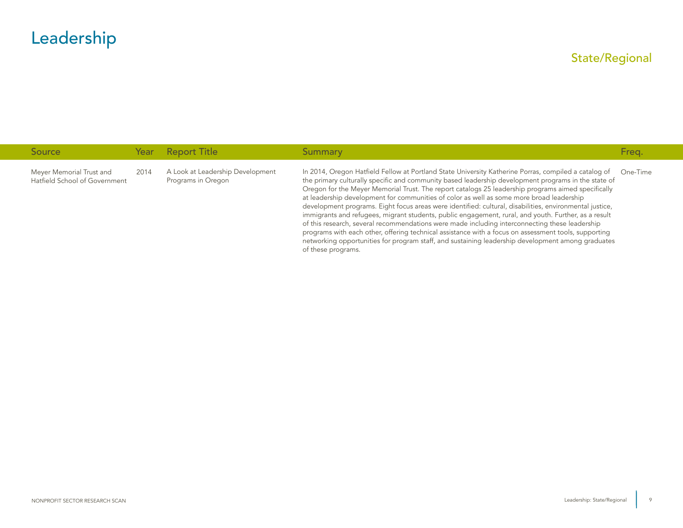<span id="page-9-0"></span>

| Source                                                    | Year | <b>Report Title</b>                                    | <b>Summary</b>                                                                                                                                                                                                                                                                                                                                                                                                                                                                                                                                                                                                                                                                                                                                                                                                                                                                                                                                                        | Freq.    |
|-----------------------------------------------------------|------|--------------------------------------------------------|-----------------------------------------------------------------------------------------------------------------------------------------------------------------------------------------------------------------------------------------------------------------------------------------------------------------------------------------------------------------------------------------------------------------------------------------------------------------------------------------------------------------------------------------------------------------------------------------------------------------------------------------------------------------------------------------------------------------------------------------------------------------------------------------------------------------------------------------------------------------------------------------------------------------------------------------------------------------------|----------|
| Meyer Memorial Trust and<br>Hatfield School of Government | 2014 | A Look at Leadership Development<br>Programs in Oregon | In 2014, Oregon Hatfield Fellow at Portland State University Katherine Porras, compiled a catalog of<br>the primary culturally specific and community based leadership development programs in the state of<br>Oregon for the Meyer Memorial Trust. The report catalogs 25 leadership programs aimed specifically<br>at leadership development for communities of color as well as some more broad leadership<br>development programs. Eight focus areas were identified: cultural, disabilities, environmental justice,<br>immigrants and refugees, migrant students, public engagement, rural, and youth. Further, as a result<br>of this research, several recommendations were made including interconnecting these leadership<br>programs with each other, offering technical assistance with a focus on assessment tools, supporting<br>networking opportunities for program staff, and sustaining leadership development among graduates<br>of these programs. | One-Time |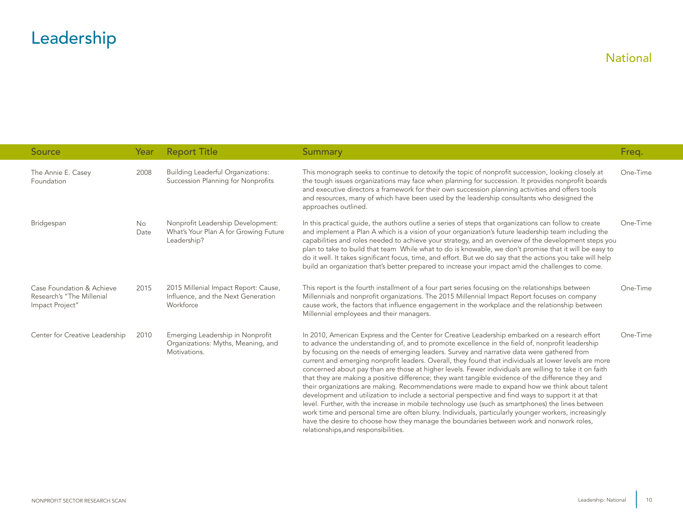<span id="page-10-0"></span>

| Source                                                                    | Year        | <b>Report Title</b>                                                                       | <b>Summary</b>                                                                                                                                                                                                                                                                                                                                                                                                                                                                                                                                                                                                                                                                                                                                                                                                                                                                                                                                                                                                                                                                                                                                                                      | Freq.    |
|---------------------------------------------------------------------------|-------------|-------------------------------------------------------------------------------------------|-------------------------------------------------------------------------------------------------------------------------------------------------------------------------------------------------------------------------------------------------------------------------------------------------------------------------------------------------------------------------------------------------------------------------------------------------------------------------------------------------------------------------------------------------------------------------------------------------------------------------------------------------------------------------------------------------------------------------------------------------------------------------------------------------------------------------------------------------------------------------------------------------------------------------------------------------------------------------------------------------------------------------------------------------------------------------------------------------------------------------------------------------------------------------------------|----------|
| The Annie E. Casey<br>Foundation                                          | 2008        | <b>Building Leaderful Organizations:</b><br>Succession Planning for Nonprofits            | This monograph seeks to continue to detoxify the topic of nonprofit succession, looking closely at<br>the tough issues organizations may face when planning for succession. It provides nonprofit boards<br>and executive directors a framework for their own succession planning activities and offers tools<br>and resources, many of which have been used by the leadership consultants who designed the<br>approaches outlined.                                                                                                                                                                                                                                                                                                                                                                                                                                                                                                                                                                                                                                                                                                                                                 | One-Time |
| Bridgespan                                                                | No.<br>Date | Nonprofit Leadership Development:<br>What's Your Plan A for Growing Future<br>Leadership? | In this practical quide, the authors outline a series of steps that organizations can follow to create<br>and implement a Plan A which is a vision of your organization's future leadership team including the<br>capabilities and roles needed to achieve your strategy, and an overview of the development steps you<br>plan to take to build that team While what to do is knowable, we don't promise that it will be easy to<br>do it well. It takes significant focus, time, and effort. But we do say that the actions you take will help<br>build an organization that's better prepared to increase your impact amid the challenges to come.                                                                                                                                                                                                                                                                                                                                                                                                                                                                                                                                | One-Time |
| Case Foundation & Achieve<br>Research's "The Millenial<br>Impact Project" | 2015        | 2015 Millenial Impact Report: Cause,<br>Influence, and the Next Generation<br>Workforce   | This report is the fourth installment of a four part series focusing on the relationships between<br>Millennials and nonprofit organizations. The 2015 Millennial Impact Report focuses on company<br>cause work, the factors that influence engagement in the workplace and the relationship between<br>Millennial employees and their managers.                                                                                                                                                                                                                                                                                                                                                                                                                                                                                                                                                                                                                                                                                                                                                                                                                                   | One-Time |
| Center for Creative Leadership                                            | 2010        | Emerging Leadership in Nonprofit<br>Organizations: Myths, Meaning, and<br>Motivations.    | In 2010, American Express and the Center for Creative Leadership embarked on a research effort<br>to advance the understanding of, and to promote excellence in the field of, nonprofit leadership<br>by focusing on the needs of emerging leaders. Survey and narrative data were gathered from<br>current and emerging nonprofit leaders. Overall, they found that individuals at lower levels are more<br>concerned about pay than are those at higher levels. Fewer individuals are willing to take it on faith<br>that they are making a positive difference; they want tangible evidence of the difference they and<br>their organizations are making. Recommendations were made to expand how we think about talent<br>development and utilization to include a sectorial perspective and find ways to support it at that<br>level. Further, with the increase in mobile technology use (such as smartphones) the lines between<br>work time and personal time are often blurry. Individuals, particularly younger workers, increasingly<br>have the desire to choose how they manage the boundaries between work and nonwork roles,<br>relationships, and responsibilities. | One-Time |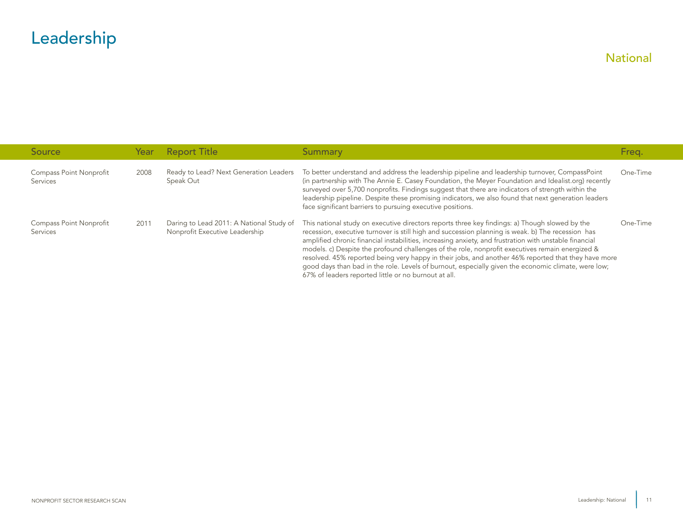| <b>Source</b>                       | Year | <b>Report Title</b>                                                        | Summary                                                                                                                                                                                                                                                                                                                                                                                                                                                                                                                                                                                                                                                                                | Freg.    |
|-------------------------------------|------|----------------------------------------------------------------------------|----------------------------------------------------------------------------------------------------------------------------------------------------------------------------------------------------------------------------------------------------------------------------------------------------------------------------------------------------------------------------------------------------------------------------------------------------------------------------------------------------------------------------------------------------------------------------------------------------------------------------------------------------------------------------------------|----------|
| Compass Point Nonprofit<br>Services | 2008 | Ready to Lead? Next Generation Leaders<br>Speak Out                        | To better understand and address the leadership pipeline and leadership turnover, CompassPoint<br>(in partnership with The Annie E. Casey Foundation, the Meyer Foundation and Idealist.org) recently<br>surveyed over 5,700 nonprofits. Findings suggest that there are indicators of strength within the<br>leadership pipeline. Despite these promising indicators, we also found that next generation leaders<br>face significant barriers to pursuing executive positions.                                                                                                                                                                                                        | One-Time |
| Compass Point Nonprofit<br>Services | 2011 | Daring to Lead 2011: A National Study of<br>Nonprofit Executive Leadership | This national study on executive directors reports three key findings: a) Though slowed by the<br>recession, executive turnover is still high and succession planning is weak. b) The recession has<br>amplified chronic financial instabilities, increasing anxiety, and frustration with unstable financial<br>models. c) Despite the profound challenges of the role, nonprofit executives remain energized &<br>resolved. 45% reported being very happy in their jobs, and another 46% reported that they have more<br>good days than bad in the role. Levels of burnout, especially given the economic climate, were low;<br>67% of leaders reported little or no burnout at all. | One-Time |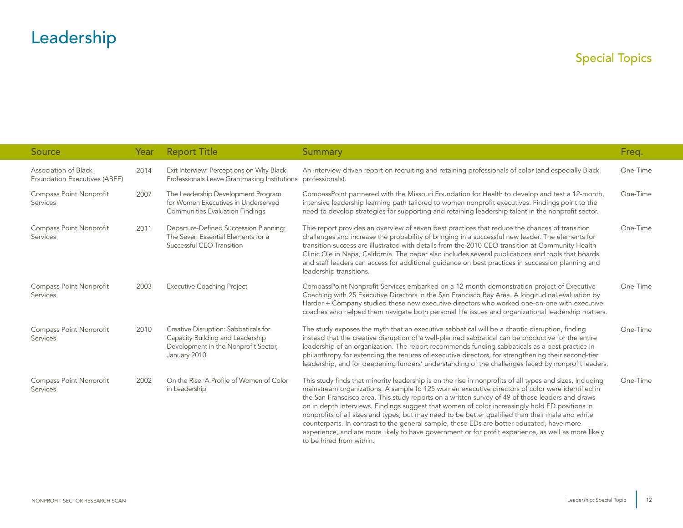<span id="page-12-0"></span>

| <b>Source</b>                                        | Year | <b>Report Title</b>                                                                                                              | <b>Summary</b>                                                                                                                                                                                                                                                                                                                                                                                                                                                                                                                                                                                                                                                                                                                                        | Freq.    |
|------------------------------------------------------|------|----------------------------------------------------------------------------------------------------------------------------------|-------------------------------------------------------------------------------------------------------------------------------------------------------------------------------------------------------------------------------------------------------------------------------------------------------------------------------------------------------------------------------------------------------------------------------------------------------------------------------------------------------------------------------------------------------------------------------------------------------------------------------------------------------------------------------------------------------------------------------------------------------|----------|
| Association of Black<br>Foundation Executives (ABFE) | 2014 | Exit Interview: Perceptions on Why Black<br>Professionals Leave Grantmaking Institutions                                         | An interview-driven report on recruiting and retaining professionals of color (and especially Black<br>professionals).                                                                                                                                                                                                                                                                                                                                                                                                                                                                                                                                                                                                                                | One-Time |
| Compass Point Nonprofit<br>Services                  | 2007 | The Leadership Development Program<br>for Women Executives in Underserved<br><b>Communities Evaluation Findings</b>              | CompassPoint partnered with the Missouri Foundation for Health to develop and test a 12-month,<br>intensive leadership learning path tailored to women nonprofit executives. Findings point to the<br>need to develop strategies for supporting and retaining leadership talent in the nonprofit sector.                                                                                                                                                                                                                                                                                                                                                                                                                                              | One-Time |
| Compass Point Nonprofit<br>Services                  | 2011 | Departure-Defined Succession Planning:<br>The Seven Essential Elements for a<br>Successful CEO Transition                        | Thie report provides an overview of seven best practices that reduce the chances of transition<br>challenges and increase the probability of bringing in a successful new leader. The elements for<br>transition success are illustrated with details from the 2010 CEO transition at Community Health<br>Clinic Ole in Napa, California. The paper also includes several publications and tools that boards<br>and staff leaders can access for additional quidance on best practices in succession planning and<br>leadership transitions.                                                                                                                                                                                                          | One-Time |
| Compass Point Nonprofit<br>Services                  | 2003 | <b>Executive Coaching Project</b>                                                                                                | CompassPoint Nonprofit Services embarked on a 12-month demonstration project of Executive<br>Coaching with 25 Executive Directors in the San Francisco Bay Area. A longitudinal evaluation by<br>Harder + Company studied these new executive directors who worked one-on-one with executive<br>coaches who helped them navigate both personal life issues and organizational leadership matters.                                                                                                                                                                                                                                                                                                                                                     | One-Time |
| Compass Point Nonprofit<br>Services                  | 2010 | Creative Disruption: Sabbaticals for<br>Capacity Building and Leadership<br>Development in the Nonprofit Sector,<br>January 2010 | The study exposes the myth that an executive sabbatical will be a chaotic disruption, finding<br>instead that the creative disruption of a well-planned sabbatical can be productive for the entire<br>leadership of an organization. The report recommends funding sabbaticals as a best practice in<br>philanthropy for extending the tenures of executive directors, for strengthening their second-tier<br>leadership, and for deepening funders' understanding of the challenges faced by nonprofit leaders.                                                                                                                                                                                                                                     | One-Time |
| Compass Point Nonprofit<br>Services                  | 2002 | On the Rise: A Profile of Women of Color<br>in Leadership                                                                        | This study finds that minority leadership is on the rise in nonprofits of all types and sizes, including<br>mainstream organizations. A sample fo 125 women executive directors of color were identified in<br>the San Franscisco area. This study reports on a written survey of 49 of those leaders and draws<br>on in depth interviews. Findings suggest that women of color increasingly hold ED positions in<br>nonprofits of all sizes and types, but may need to be better qualified than their male and white<br>counterparts. In contrast to the general sample, these EDs are better educated, have more<br>experience, and are more likely to have government or for profit experience, as well as more likely<br>to be hired from within. | One-Time |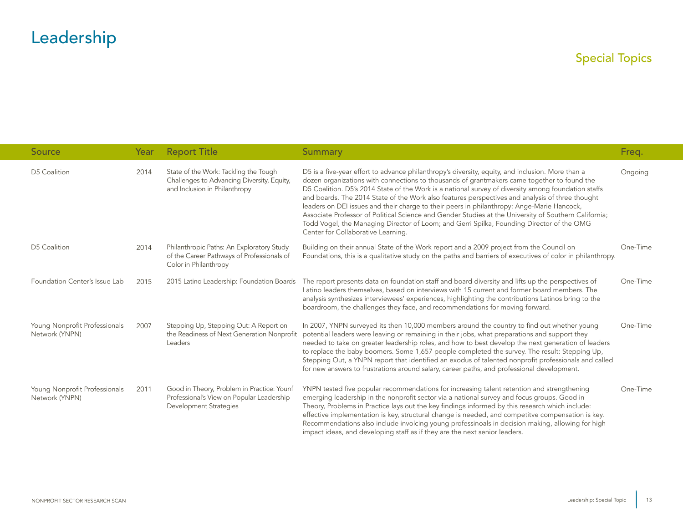| Source                                          | Year | <b>Report Title</b>                                                                                                      | <b>Summary</b>                                                                                                                                                                                                                                                                                                                                                                                                                                                                                                                                                                                                                                                                                                                                      | Freq.    |
|-------------------------------------------------|------|--------------------------------------------------------------------------------------------------------------------------|-----------------------------------------------------------------------------------------------------------------------------------------------------------------------------------------------------------------------------------------------------------------------------------------------------------------------------------------------------------------------------------------------------------------------------------------------------------------------------------------------------------------------------------------------------------------------------------------------------------------------------------------------------------------------------------------------------------------------------------------------------|----------|
| D5 Coalition                                    | 2014 | State of the Work: Tackling the Tough<br>Challenges to Advancing Diversity, Equity,<br>and Inclusion in Philanthropy     | D5 is a five-year effort to advance philanthropy's diversity, equity, and inclusion. More than a<br>dozen organizations with connections to thousands of grantmakers came together to found the<br>D5 Coalition. D5's 2014 State of the Work is a national survey of diversity among foundation staffs<br>and boards. The 2014 State of the Work also features perspectives and analysis of three thought<br>leaders on DEI issues and their charge to their peers in philanthropy: Ange-Marie Hancock,<br>Associate Professor of Political Science and Gender Studies at the University of Southern California;<br>Todd Vogel, the Managing Director of Loom; and Gerri Spilka, Founding Director of the OMG<br>Center for Collaborative Learning. | Ongoing  |
| D5 Coalition                                    | 2014 | Philanthropic Paths: An Exploratory Study<br>of the Career Pathways of Professionals of<br>Color in Philanthropy         | Building on their annual State of the Work report and a 2009 project from the Council on<br>Foundations, this is a qualitative study on the paths and barriers of executives of color in philanthropy.                                                                                                                                                                                                                                                                                                                                                                                                                                                                                                                                              | One-Time |
| Foundation Center's Issue Lab                   | 2015 | 2015 Latino Leadership: Foundation Boards                                                                                | The report presents data on foundation staff and board diversity and lifts up the perspectives of<br>Latino leaders themselves, based on interviews with 15 current and former board members. The<br>analysis synthesizes interviewees' experiences, highlighting the contributions Latinos bring to the<br>boardroom, the challenges they face, and recommendations for moving forward.                                                                                                                                                                                                                                                                                                                                                            | One-Time |
| Young Nonprofit Professionals<br>Network (YNPN) | 2007 | Stepping Up, Stepping Out: A Report on<br>the Readiness of Next Generation Nonprofit<br>Leaders                          | In 2007, YNPN surveyed its then 10,000 members around the country to find out whether young<br>potential leaders were leaving or remaining in their jobs, what preparations and support they<br>needed to take on greater leadership roles, and how to best develop the next generation of leaders<br>to replace the baby boomers. Some 1,657 people completed the survey. The result: Stepping Up,<br>Stepping Out, a YNPN report that identified an exodus of talented nonprofit professionals and called<br>for new answers to frustrations around salary, career paths, and professional development.                                                                                                                                           | One-Time |
| Young Nonprofit Professionals<br>Network (YNPN) | 2011 | Good in Theory, Problem in Practice: Younf<br>Professional's View on Popular Leadership<br><b>Development Strategies</b> | YNPN tested five popular recommendations for increasing talent retention and strengthening<br>emerging leadership in the nonprofit sector via a national survey and focus groups. Good in<br>Theory, Problems in Practice lays out the key findings informed by this research which include:<br>effective implementation is key, structural change is needed, and competitve compensation is key.<br>Recommendations also include involcing young professinoals in decision making, allowing for high<br>impact ideas, and developing staff as if they are the next senior leaders.                                                                                                                                                                 | One-Time |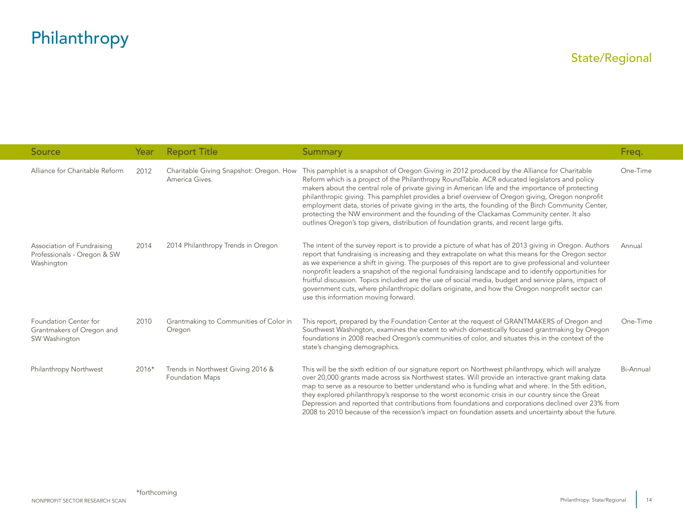<span id="page-14-0"></span>

| Source                                                                  | Year  | <b>Report Title</b>                                         | <b>Summary</b>                                                                                                                                                                                                                                                                                                                                                                                                                                                                                                                                                                                                                                                                                         | Freq.     |
|-------------------------------------------------------------------------|-------|-------------------------------------------------------------|--------------------------------------------------------------------------------------------------------------------------------------------------------------------------------------------------------------------------------------------------------------------------------------------------------------------------------------------------------------------------------------------------------------------------------------------------------------------------------------------------------------------------------------------------------------------------------------------------------------------------------------------------------------------------------------------------------|-----------|
| Alliance for Charitable Reform                                          | 2012  | Charitable Giving Snapshot: Oregon. How<br>America Gives.   | This pamphlet is a snapshot of Oregon Giving in 2012 produced by the Alliance for Charitable<br>Reform which is a project of the Philanthropy RoundTable. ACR educated legislators and policy<br>makers about the central role of private giving in American life and the importance of protecting<br>philanthropic giving. This pamphlet provides a brief overview of Oregon giving, Oregon nonprofit<br>employment data, stories of private giving in the arts, the founding of the Birch Community Center,<br>protecting the NW environment and the founding of the Clackamas Community center. It also<br>outlines Oregon's top givers, distribution of foundation grants, and recent large gifts. | One-Time  |
| Association of Fundraising<br>Professionals - Oregon & SW<br>Washington | 2014  | 2014 Philanthropy Trends in Oregon                          | The intent of the survey report is to provide a picture of what has of 2013 giving in Oregon. Authors<br>report that fundraising is increasing and they extrapolate on what this means for the Oregon sector<br>as we experience a shift in giving. The purposes of this report are to give professional and volunteer<br>nonprofit leaders a snapshot of the regional fundraising landscape and to identify opportunities for<br>fruitful discussion. Topics included are the use of social media, budget and service plans, impact of<br>government cuts, where philanthropic dollars originate, and how the Oregon nonprofit sector can<br>use this information moving forward.                     | Annual    |
| Foundation Center for<br>Grantmakers of Oregon and<br>SW Washington     | 2010  | Grantmaking to Communities of Color in<br>Oregon            | This report, prepared by the Foundation Center at the request of GRANTMAKERS of Oregon and<br>Southwest Washington, examines the extent to which domestically focused grantmaking by Oregon<br>foundations in 2008 reached Oregon's communities of color, and situates this in the context of the<br>state's changing demographics.                                                                                                                                                                                                                                                                                                                                                                    | One-Time  |
| Philanthropy Northwest                                                  | 2016* | Trends in Northwest Giving 2016 &<br><b>Foundation Maps</b> | This will be the sixth edition of our signature report on Northwest philanthropy, which will analyze<br>over 20,000 grants made across six Northwest states. Will provide an interactive grant making data<br>map to serve as a resource to better understand who is funding what and where. In the 5th edition,<br>they explored philanthropy's response to the worst economic crisis in our country since the Great<br>Depression and reported that contributions from foundations and corporations declined over 23% from<br>2008 to 2010 because of the recession's impact on foundation assets and uncertainty about the future.                                                                  | Bi-Annual |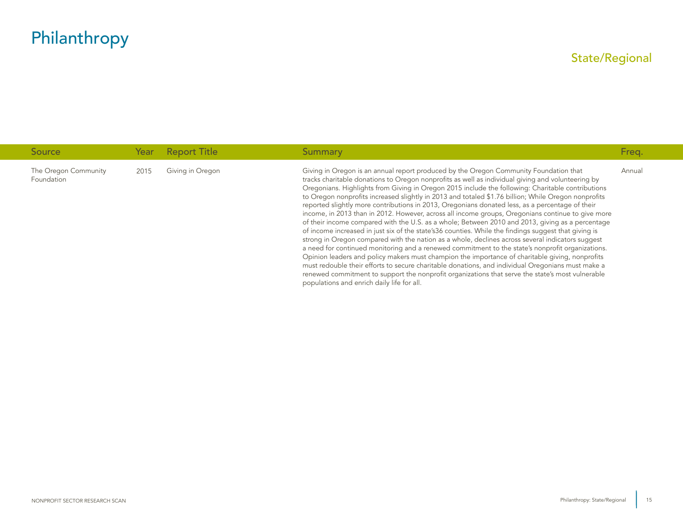| Source                             | Year | <b>Report Title</b> | Summary                                                                                                                                                                                                                                                                                                                                                                                                                                                                                                                                                                                                                                                                                                                                                                                                                                                                                                                                                                                                                                                                                                                                                                                                                                                                                                                                                                                      | Freq.  |
|------------------------------------|------|---------------------|----------------------------------------------------------------------------------------------------------------------------------------------------------------------------------------------------------------------------------------------------------------------------------------------------------------------------------------------------------------------------------------------------------------------------------------------------------------------------------------------------------------------------------------------------------------------------------------------------------------------------------------------------------------------------------------------------------------------------------------------------------------------------------------------------------------------------------------------------------------------------------------------------------------------------------------------------------------------------------------------------------------------------------------------------------------------------------------------------------------------------------------------------------------------------------------------------------------------------------------------------------------------------------------------------------------------------------------------------------------------------------------------|--------|
| The Oregon Community<br>Foundation | 2015 | Giving in Oregon    | Giving in Oregon is an annual report produced by the Oregon Community Foundation that<br>tracks charitable donations to Oregon nonprofits as well as individual giving and volunteering by<br>Oregonians. Highlights from Giving in Oregon 2015 include the following: Charitable contributions<br>to Oregon nonprofits increased slightly in 2013 and totaled \$1.76 billion; While Oregon nonprofits<br>reported slightly more contributions in 2013, Oregonians donated less, as a percentage of their<br>income, in 2013 than in 2012. However, across all income groups, Oregonians continue to give more<br>of their income compared with the U.S. as a whole; Between 2010 and 2013, giving as a percentage<br>of income increased in just six of the state's36 counties. While the findings suggest that giving is<br>strong in Oregon compared with the nation as a whole, declines across several indicators suggest<br>a need for continued monitoring and a renewed commitment to the state's nonprofit organizations.<br>Opinion leaders and policy makers must champion the importance of charitable giving, nonprofits<br>must redouble their efforts to secure charitable donations, and individual Oregonians must make a<br>renewed commitment to support the nonprofit organizations that serve the state's most vulnerable<br>populations and enrich daily life for all. | Annual |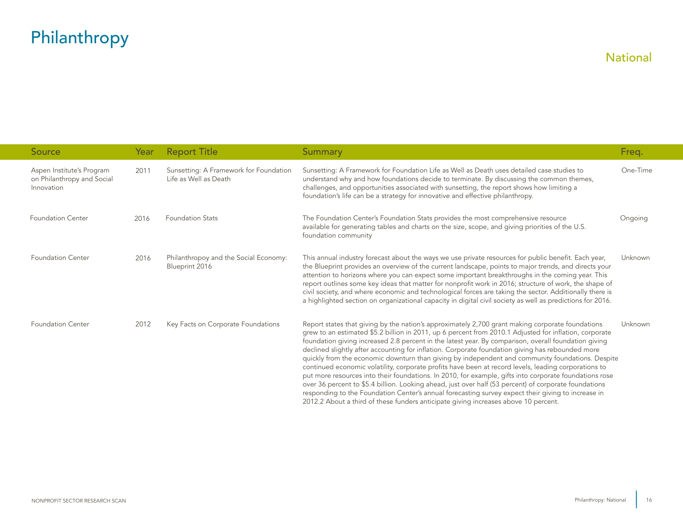<span id="page-16-0"></span>

| Source                                                                | Year | <b>Report Title</b>                                             | <b>Summary</b>                                                                                                                                                                                                                                                                                                                                                                                                                                                                                                                                                                                                                                                                                                                                                                                                                                                                                                                                                                                                                                     | Freq.    |
|-----------------------------------------------------------------------|------|-----------------------------------------------------------------|----------------------------------------------------------------------------------------------------------------------------------------------------------------------------------------------------------------------------------------------------------------------------------------------------------------------------------------------------------------------------------------------------------------------------------------------------------------------------------------------------------------------------------------------------------------------------------------------------------------------------------------------------------------------------------------------------------------------------------------------------------------------------------------------------------------------------------------------------------------------------------------------------------------------------------------------------------------------------------------------------------------------------------------------------|----------|
| Aspen Institute's Program<br>on Philanthropy and Social<br>Innovation | 2011 | Sunsetting: A Framework for Foundation<br>Life as Well as Death | Sunsetting: A Framework for Foundation Life as Well as Death uses detailed case studies to<br>understand why and how foundations decide to terminate. By discussing the common themes,<br>challenges, and opportunities associated with sunsetting, the report shows how limiting a<br>foundation's life can be a strategy for innovative and effective philanthropy.                                                                                                                                                                                                                                                                                                                                                                                                                                                                                                                                                                                                                                                                              | One-Time |
| <b>Foundation Center</b>                                              | 2016 | <b>Foundation Stats</b>                                         | The Foundation Center's Foundation Stats provides the most comprehensive resource<br>available for generating tables and charts on the size, scope, and giving priorities of the U.S.<br>foundation community                                                                                                                                                                                                                                                                                                                                                                                                                                                                                                                                                                                                                                                                                                                                                                                                                                      | Ongoing  |
| <b>Foundation Center</b>                                              | 2016 | Philanthropoy and the Social Economy:<br>Blueprint 2016         | This annual industry forecast about the ways we use private resources for public benefit. Each year,<br>the Blueprint provides an overview of the current landscape, points to major trends, and directs your<br>attention to horizons where you can expect some important breakthroughs in the coming year. This<br>report outlines some key ideas that matter for nonprofit work in 2016; structure of work, the shape of<br>civil society, and where economic and technological forces are taking the sector. Additionally there is<br>a highlighted section on organizational capacity in digital civil society as well as predictions for 2016.                                                                                                                                                                                                                                                                                                                                                                                               | Unknown  |
| <b>Foundation Center</b>                                              | 2012 | Key Facts on Corporate Foundations                              | Report states that giving by the nation's approximately 2,700 grant making corporate foundations<br>grew to an estimated \$5.2 billion in 2011, up 6 percent from 2010.1 Adjusted for inflation, corporate<br>foundation giving increased 2.8 percent in the latest year. By comparison, overall foundation giving<br>declined slightly after accounting for inflation. Corporate foundation giving has rebounded more<br>quickly from the economic downturn than giving by independent and community foundations. Despite<br>continued economic volatility, corporate profits have been at record levels, leading corporations to<br>put more resources into their foundations. In 2010, for example, gifts into corporate foundations rose<br>over 36 percent to \$5.4 billion. Looking ahead, just over half (53 percent) of corporate foundations<br>responding to the Foundation Center's annual forecasting survey expect their giving to increase in<br>2012.2 About a third of these funders anticipate giving increases above 10 percent. | Unknown  |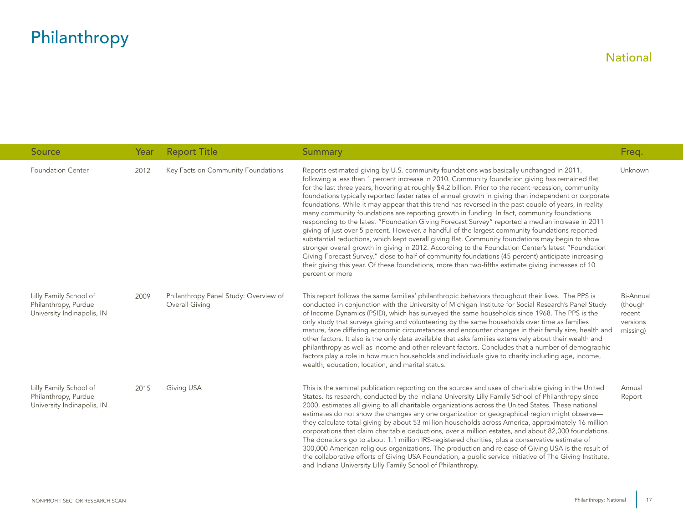| Source                                                                       | Year | <b>Report Title</b>                                     | Summary                                                                                                                                                                                                                                                                                                                                                                                                                                                                                                                                                                                                                                                                                                                                                                                                                                                                                                                                                                                                                                                                                                                                                                                                                                                          | Freq.                                                  |
|------------------------------------------------------------------------------|------|---------------------------------------------------------|------------------------------------------------------------------------------------------------------------------------------------------------------------------------------------------------------------------------------------------------------------------------------------------------------------------------------------------------------------------------------------------------------------------------------------------------------------------------------------------------------------------------------------------------------------------------------------------------------------------------------------------------------------------------------------------------------------------------------------------------------------------------------------------------------------------------------------------------------------------------------------------------------------------------------------------------------------------------------------------------------------------------------------------------------------------------------------------------------------------------------------------------------------------------------------------------------------------------------------------------------------------|--------------------------------------------------------|
| <b>Foundation Center</b>                                                     | 2012 | Key Facts on Community Foundations                      | Reports estimated giving by U.S. community foundations was basically unchanged in 2011,<br>following a less than 1 percent increase in 2010. Community foundation giving has remained flat<br>for the last three years, hovering at roughly \$4.2 billion. Prior to the recent recession, community<br>foundations typically reported faster rates of annual growth in giving than independent or corporate<br>foundations. While it may appear that this trend has reversed in the past couple of years, in reality<br>many community foundations are reporting growth in funding. In fact, community foundations<br>responding to the latest "Foundation Giving Forecast Survey" reported a median increase in 2011<br>giving of just over 5 percent. However, a handful of the largest community foundations reported<br>substantial reductions, which kept overall giving flat. Community foundations may begin to show<br>stronger overall growth in giving in 2012. According to the Foundation Center's latest "Foundation<br>Giving Forecast Survey," close to half of community foundations (45 percent) anticipate increasing<br>their giving this year. Of these foundations, more than two-fifths estimate giving increases of 10<br>percent or more | Unknown                                                |
| Lilly Family School of<br>Philanthropy, Purdue<br>University Indinapolis, IN | 2009 | Philanthropy Panel Study: Overview of<br>Overall Giving | This report follows the same families' philanthropic behaviors throughout their lives. The PPS is<br>conducted in conjunction with the University of Michigan Institute for Social Research's Panel Study<br>of Income Dynamics (PSID), which has surveyed the same households since 1968. The PPS is the<br>only study that surveys giving and volunteering by the same households over time as families<br>mature, face differing economic circumstances and encounter changes in their family size, health and<br>other factors. It also is the only data available that asks families extensively about their wealth and<br>philanthropy as well as income and other relevant factors. Concludes that a number of demographic<br>factors play a role in how much households and individuals give to charity including age, income,<br>wealth, education, location, and marital status.                                                                                                                                                                                                                                                                                                                                                                       | Bi-Annual<br>(though<br>recent<br>versions<br>missing) |
| Lilly Family School of<br>Philanthropy, Purdue<br>University Indinapolis, IN | 2015 | Giving USA                                              | This is the seminal publication reporting on the sources and uses of charitable giving in the United<br>States. Its research, conducted by the Indiana University Lilly Family School of Philanthropy since<br>2000, estimates all giving to all charitable organizations across the United States. These national<br>estimates do not show the changes any one organization or geographical region might observe—<br>they calculate total giving by about 53 million households across America, approximately 16 million<br>corporations that claim charitable deductions, over a million estates, and about 82,000 foundations.<br>The donations go to about 1.1 million IRS-registered charities, plus a conservative estimate of<br>300,000 American religious organizations. The production and release of Giving USA is the result of<br>the collaborative efforts of Giving USA Foundation, a public service initiative of The Giving Institute,<br>and Indiana University Lilly Family School of Philanthropy.                                                                                                                                                                                                                                           | Annual<br>Report                                       |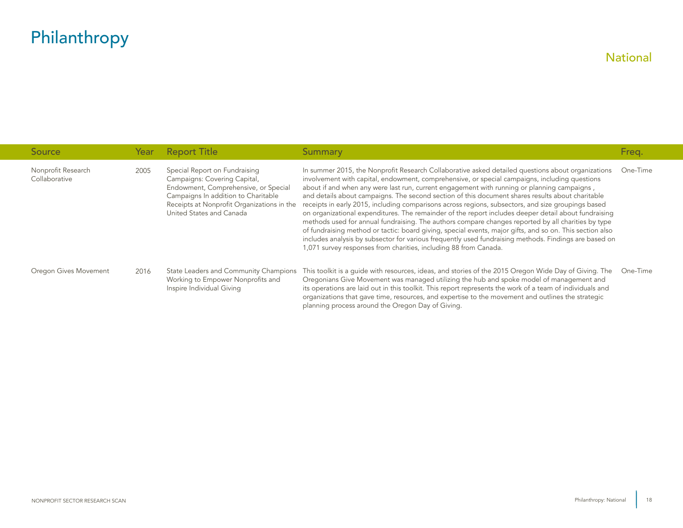| Source                              | Year | <b>Report Title</b>                                                                                                                                                                                                    | Summary                                                                                                                                                                                                                                                                                                                                                                                                                                                                                                                                                                                                                                                                                                                                                                                                                                                                                                                                                                                                            | Freq.    |
|-------------------------------------|------|------------------------------------------------------------------------------------------------------------------------------------------------------------------------------------------------------------------------|--------------------------------------------------------------------------------------------------------------------------------------------------------------------------------------------------------------------------------------------------------------------------------------------------------------------------------------------------------------------------------------------------------------------------------------------------------------------------------------------------------------------------------------------------------------------------------------------------------------------------------------------------------------------------------------------------------------------------------------------------------------------------------------------------------------------------------------------------------------------------------------------------------------------------------------------------------------------------------------------------------------------|----------|
| Nonprofit Research<br>Collaborative | 2005 | Special Report on Fundraising<br>Campaigns: Covering Capital,<br>Endowment, Comprehensive, or Special<br>Campaigns In addition to Charitable<br>Receipts at Nonprofit Organizations in the<br>United States and Canada | In summer 2015, the Nonprofit Research Collaborative asked detailed questions about organizations<br>involvement with capital, endowment, comprehensive, or special campaigns, including questions<br>about if and when any were last run, current engagement with running or planning campaigns,<br>and details about campaigns. The second section of this document shares results about charitable<br>receipts in early 2015, including comparisons across regions, subsectors, and size groupings based<br>on organizational expenditures. The remainder of the report includes deeper detail about fundraising<br>methods used for annual fundraising. The authors compare changes reported by all charities by type<br>of fundraising method or tactic: board giving, special events, major gifts, and so on. This section also<br>includes analysis by subsector for various frequently used fundraising methods. Findings are based on<br>1,071 survey responses from charities, including 88 from Canada. | One-Time |
| Oregon Gives Movement               | 2016 | State Leaders and Community Champions<br>Working to Empower Nonprofits and<br>Inspire Individual Giving                                                                                                                | This toolkit is a quide with resources, ideas, and stories of the 2015 Oregon Wide Day of Giving. The<br>Oregonians Give Movement was managed utilizing the hub and spoke model of management and<br>its operations are laid out in this toolkit. This report represents the work of a team of individuals and<br>organizations that gave time, resources, and expertise to the movement and outlines the strategic<br>planning process around the Oregon Day of Giving.                                                                                                                                                                                                                                                                                                                                                                                                                                                                                                                                           | One-Time |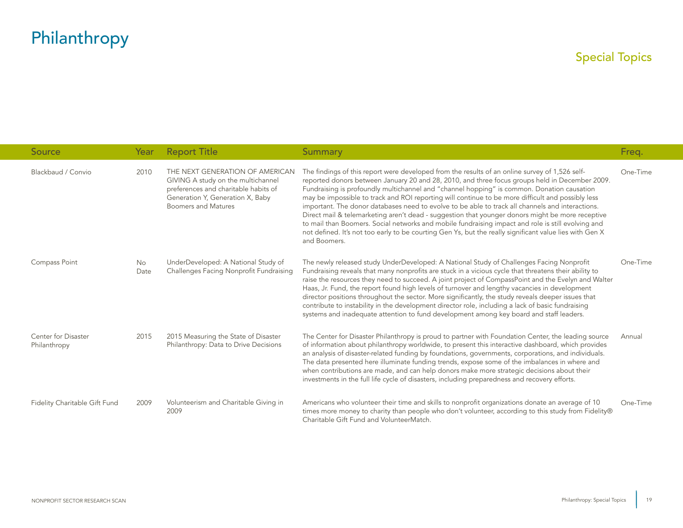<span id="page-19-0"></span>

| Source                              | Year       | <b>Report Title</b>                                                                                                                                                             | <b>Summary</b>                                                                                                                                                                                                                                                                                                                                                                                                                                                                                                                                                                                                                                                                                                                                                                                                                               | Freq.    |
|-------------------------------------|------------|---------------------------------------------------------------------------------------------------------------------------------------------------------------------------------|----------------------------------------------------------------------------------------------------------------------------------------------------------------------------------------------------------------------------------------------------------------------------------------------------------------------------------------------------------------------------------------------------------------------------------------------------------------------------------------------------------------------------------------------------------------------------------------------------------------------------------------------------------------------------------------------------------------------------------------------------------------------------------------------------------------------------------------------|----------|
| Blackbaud / Convio                  | 2010       | THE NEXT GENERATION OF AMERICAN<br>GIVING A study on the multichannel<br>preferences and charitable habits of<br>Generation Y, Generation X, Baby<br><b>Boomers and Matures</b> | The findings of this report were developed from the results of an online survey of 1,526 self-<br>reported donors between January 20 and 28, 2010, and three focus groups held in December 2009.<br>Fundraising is profoundly multichannel and "channel hopping" is common. Donation causation<br>may be impossible to track and ROI reporting will continue to be more difficult and possibly less<br>important. The donor databases need to evolve to be able to track all channels and interactions.<br>Direct mail & telemarketing aren't dead - suggestion that younger donors might be more receptive<br>to mail than Boomers. Social networks and mobile fundraising impact and role is still evolving and<br>not defined. It's not too early to be courting Gen Ys, but the really significant value lies with Gen X<br>and Boomers. | One-Time |
| Compass Point                       | No<br>Date | UnderDeveloped: A National Study of<br>Challenges Facing Nonprofit Fundraising                                                                                                  | The newly released study UnderDeveloped: A National Study of Challenges Facing Nonprofit<br>Fundraising reveals that many nonprofits are stuck in a vicious cycle that threatens their ability to<br>raise the resources they need to succeed. A joint project of CompassPoint and the Evelyn and Walter<br>Haas, Jr. Fund, the report found high levels of turnover and lengthy vacancies in development<br>director positions throughout the sector. More significantly, the study reveals deeper issues that<br>contribute to instability in the development director role, including a lack of basic fundraising<br>systems and inadequate attention to fund development among key board and staff leaders.                                                                                                                              | One-Time |
| Center for Disaster<br>Philanthropy | 2015       | 2015 Measuring the State of Disaster<br>Philanthropy: Data to Drive Decisions                                                                                                   | The Center for Disaster Philanthropy is proud to partner with Foundation Center, the leading source<br>of information about philanthropy worldwide, to present this interactive dashboard, which provides<br>an analysis of disaster-related funding by foundations, governments, corporations, and individuals.<br>The data presented here illuminate funding trends, expose some of the imbalances in where and<br>when contributions are made, and can help donors make more strategic decisions about their<br>investments in the full life cycle of disasters, including preparedness and recovery efforts.                                                                                                                                                                                                                             | Annual   |
| Fidelity Charitable Gift Fund       | 2009       | Volunteerism and Charitable Giving in<br>2009                                                                                                                                   | Americans who volunteer their time and skills to nonprofit organizations donate an average of 10<br>times more money to charity than people who don't volunteer, according to this study from Fidelity®<br>Charitable Gift Fund and VolunteerMatch.                                                                                                                                                                                                                                                                                                                                                                                                                                                                                                                                                                                          | One-Time |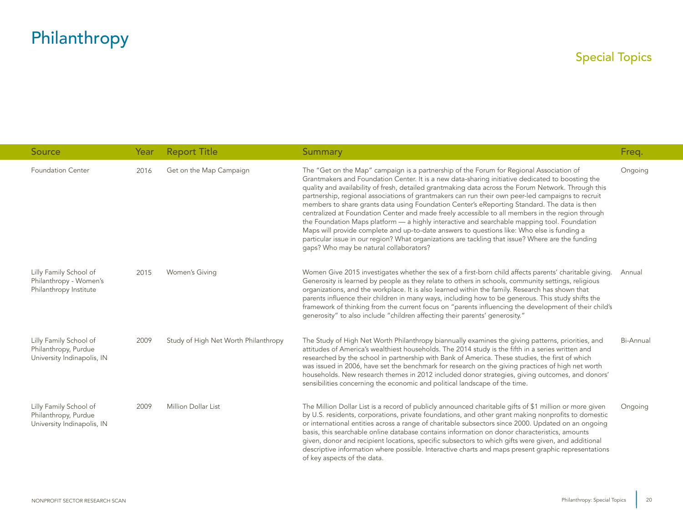| <b>Source</b>                                                                | Year | <b>Report Title</b>                  | <b>Summary</b>                                                                                                                                                                                                                                                                                                                                                                                                                                                                                                                                                                                                                                                                                                                                                                                                                                                                                                                                           | Freq.     |
|------------------------------------------------------------------------------|------|--------------------------------------|----------------------------------------------------------------------------------------------------------------------------------------------------------------------------------------------------------------------------------------------------------------------------------------------------------------------------------------------------------------------------------------------------------------------------------------------------------------------------------------------------------------------------------------------------------------------------------------------------------------------------------------------------------------------------------------------------------------------------------------------------------------------------------------------------------------------------------------------------------------------------------------------------------------------------------------------------------|-----------|
| <b>Foundation Center</b>                                                     | 2016 | Get on the Map Campaign              | The "Get on the Map" campaign is a partnership of the Forum for Regional Association of<br>Grantmakers and Foundation Center. It is a new data-sharing initiative dedicated to boosting the<br>quality and availability of fresh, detailed grantmaking data across the Forum Network. Through this<br>partnership, regional associations of grantmakers can run their own peer-led campaigns to recruit<br>members to share grants data using Foundation Center's eReporting Standard. The data is then<br>centralized at Foundation Center and made freely accessible to all members in the region through<br>the Foundation Maps platform — a highly interactive and searchable mapping tool. Foundation<br>Maps will provide complete and up-to-date answers to questions like: Who else is funding a<br>particular issue in our region? What organizations are tackling that issue? Where are the funding<br>gaps? Who may be natural collaborators? | Ongoing   |
| Lilly Family School of<br>Philanthropy - Women's<br>Philanthropy Institute   | 2015 | Women's Giving                       | Women Give 2015 investigates whether the sex of a first-born child affects parents' charitable giving.<br>Generosity is learned by people as they relate to others in schools, community settings, religious<br>organizations, and the workplace. It is also learned within the family. Research has shown that<br>parents influence their children in many ways, including how to be generous. This study shifts the<br>framework of thinking from the current focus on "parents influencing the development of their child's<br>qenerosity" to also include "children affecting their parents' generosity."                                                                                                                                                                                                                                                                                                                                            | Annual    |
| Lilly Family School of<br>Philanthropy, Purdue<br>University Indinapolis, IN | 2009 | Study of High Net Worth Philanthropy | The Study of High Net Worth Philanthropy biannually examines the giving patterns, priorities, and<br>attitudes of America's wealthiest households. The 2014 study is the fifth in a series written and<br>researched by the school in partnership with Bank of America. These studies, the first of which<br>was issued in 2006, have set the benchmark for research on the giving practices of high net worth<br>households. New research themes in 2012 included donor strategies, giving outcomes, and donors'<br>sensibilities concerning the economic and political landscape of the time.                                                                                                                                                                                                                                                                                                                                                          | Bi-Annual |
| Lilly Family School of<br>Philanthropy, Purdue<br>University Indinapolis, IN | 2009 | Million Dollar List                  | The Million Dollar List is a record of publicly announced charitable gifts of \$1 million or more given<br>by U.S. residents, corporations, private foundations, and other grant making nonprofits to domestic<br>or international entities across a range of charitable subsectors since 2000. Updated on an ongoing<br>basis, this searchable online database contains information on donor characteristics, amounts<br>given, donor and recipient locations, specific subsectors to which gifts were given, and additional<br>descriptive information where possible. Interactive charts and maps present graphic representations<br>of key aspects of the data.                                                                                                                                                                                                                                                                                      | Ongoing   |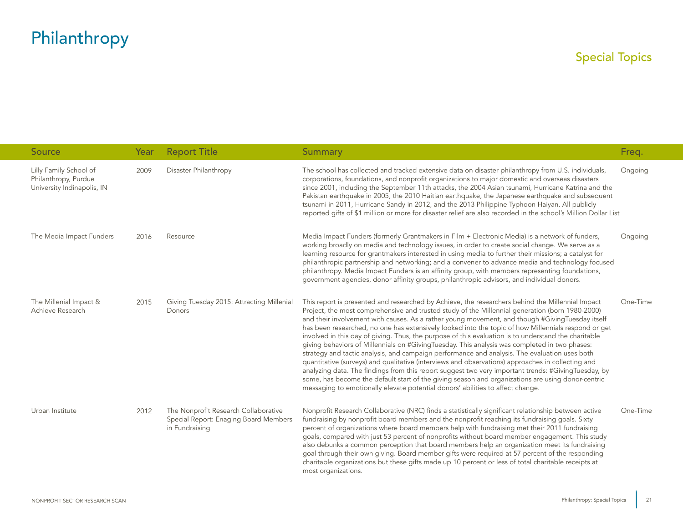| Source                                                                       | Year | <b>Report Title</b>                                                                             | <b>Summary</b>                                                                                                                                                                                                                                                                                                                                                                                                                                                                                                                                                                                                                                                                                                                                                                                                                                                                                                                                                                                                                                                                                                             | Freq.    |
|------------------------------------------------------------------------------|------|-------------------------------------------------------------------------------------------------|----------------------------------------------------------------------------------------------------------------------------------------------------------------------------------------------------------------------------------------------------------------------------------------------------------------------------------------------------------------------------------------------------------------------------------------------------------------------------------------------------------------------------------------------------------------------------------------------------------------------------------------------------------------------------------------------------------------------------------------------------------------------------------------------------------------------------------------------------------------------------------------------------------------------------------------------------------------------------------------------------------------------------------------------------------------------------------------------------------------------------|----------|
| Lilly Family School of<br>Philanthropy, Purdue<br>University Indinapolis, IN | 2009 | Disaster Philanthropy                                                                           | The school has collected and tracked extensive data on disaster philanthropy from U.S. individuals,<br>corporations, foundations, and nonprofit organizations to major domestic and overseas disasters<br>since 2001, including the September 11th attacks, the 2004 Asian tsunami, Hurricane Katrina and the<br>Pakistan earthquake in 2005, the 2010 Haitian earthquake, the Japanese earthquake and subsequent<br>tsunami in 2011, Hurricane Sandy in 2012, and the 2013 Philippine Typhoon Haiyan. All publicly<br>reported gifts of \$1 million or more for disaster relief are also recorded in the school's Million Dollar List                                                                                                                                                                                                                                                                                                                                                                                                                                                                                     | Ongoing  |
| The Media Impact Funders                                                     | 2016 | Resource                                                                                        | Media Impact Funders (formerly Grantmakers in Film + Electronic Media) is a network of funders,<br>working broadly on media and technology issues, in order to create social change. We serve as a<br>learning resource for grantmakers interested in using media to further their missions; a catalyst for<br>philanthropic partnership and networking; and a convener to advance media and technology focused<br>philanthropy. Media Impact Funders is an affinity group, with members representing foundations,<br>government agencies, donor affinity groups, philanthropic advisors, and individual donors.                                                                                                                                                                                                                                                                                                                                                                                                                                                                                                           | Ongoing  |
| The Millenial Impact &<br>Achieve Research                                   | 2015 | Giving Tuesday 2015: Attracting Millenial<br>Donors                                             | This report is presented and researched by Achieve, the researchers behind the Millennial Impact<br>Project, the most comprehensive and trusted study of the Millennial generation (born 1980-2000)<br>and their involvement with causes. As a rather young movement, and though #GivingTuesday itself<br>has been researched, no one has extensively looked into the topic of how Millennials respond or get<br>involved in this day of giving. Thus, the purpose of this evaluation is to understand the charitable<br>giving behaviors of Millennials on #GivingTuesday. This analysis was completed in two phases:<br>strategy and tactic analysis, and campaign performance and analysis. The evaluation uses both<br>quantitative (surveys) and qualitative (interviews and observations) approaches in collecting and<br>analyzing data. The findings from this report suggest two very important trends: #GivingTuesday, by<br>some, has become the default start of the giving season and organizations are using donor-centric<br>messaging to emotionally elevate potential donors' abilities to affect change. | One-Time |
| Urban Institute                                                              | 2012 | The Nonprofit Research Collaborative<br>Special Report: Enaging Board Members<br>in Fundraising | Nonprofit Research Collaborative (NRC) finds a statistically significant relationship between active<br>fundraising by nonprofit board members and the nonprofit reaching its fundraising goals. Sixty<br>percent of organizations where board members help with fundraising met their 2011 fundraising<br>goals, compared with just 53 percent of nonprofits without board member engagement. This study<br>also debunks a common perception that board members help an organization meet its fundraising<br>goal through their own giving. Board member gifts were required at 57 percent of the responding<br>charitable organizations but these gifts made up 10 percent or less of total charitable receipts at<br>most organizations.                                                                                                                                                                                                                                                                                                                                                                                | One-Time |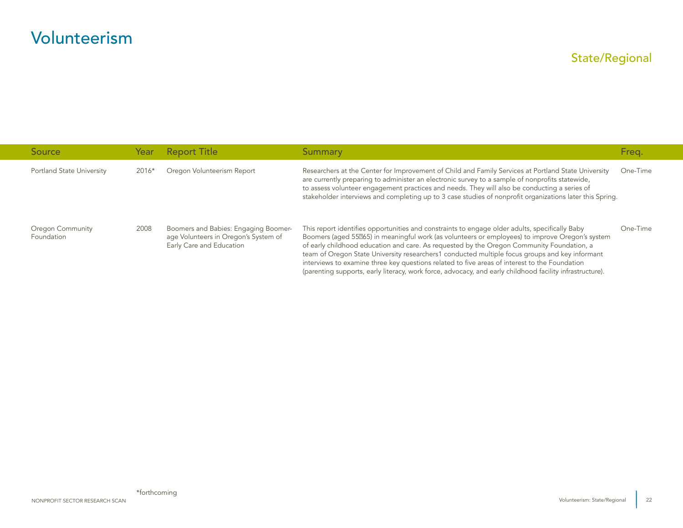<span id="page-22-0"></span>

| Source                           | Year    | <b>Report Title</b>                                                                                      | Summary                                                                                                                                                                                                                                                                                                                                                                                                                                                                                                                                                                                                       | Freg.    |
|----------------------------------|---------|----------------------------------------------------------------------------------------------------------|---------------------------------------------------------------------------------------------------------------------------------------------------------------------------------------------------------------------------------------------------------------------------------------------------------------------------------------------------------------------------------------------------------------------------------------------------------------------------------------------------------------------------------------------------------------------------------------------------------------|----------|
| <b>Portland State University</b> | $2016*$ | Oregon Volunteerism Report                                                                               | Researchers at the Center for Improvement of Child and Family Services at Portland State University<br>are currently preparing to administer an electronic survey to a sample of nonprofits statewide,<br>to assess volunteer engagement practices and needs. They will also be conducting a series of<br>stakeholder interviews and completing up to 3 case studies of nonprofit organizations later this Spring.                                                                                                                                                                                            | One-Time |
| Oregon Community<br>Foundation   | 2008    | Boomers and Babies: Engaging Boomer-<br>age Volunteers in Oregon's System of<br>Early Care and Education | This report identifies opportunities and constraints to engage older adults, specifically Baby<br>Boomers (aged 55065) in meaningful work (as volunteers or employees) to improve Oregon's system<br>of early childhood education and care. As requested by the Oregon Community Foundation, a<br>team of Oregon State University researchers1 conducted multiple focus groups and key informant<br>interviews to examine three key questions related to five areas of interest to the Foundation<br>(parenting supports, early literacy, work force, advocacy, and early childhood facility infrastructure). | One-Time |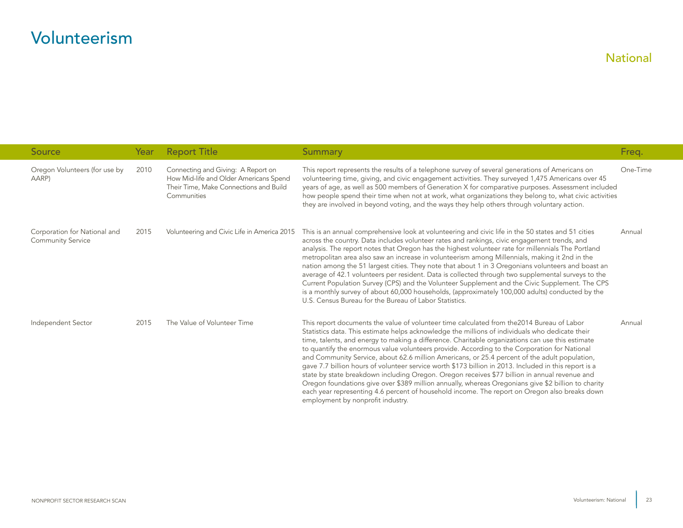<span id="page-23-0"></span>

| <b>Source</b>                                            | Year | <b>Report Title</b>                                                                                                                   | <b>Summary</b>                                                                                                                                                                                                                                                                                                                                                                                                                                                                                                                                                                                                                                                                                                                                                                                                                                                                                                                                            | Freq.    |
|----------------------------------------------------------|------|---------------------------------------------------------------------------------------------------------------------------------------|-----------------------------------------------------------------------------------------------------------------------------------------------------------------------------------------------------------------------------------------------------------------------------------------------------------------------------------------------------------------------------------------------------------------------------------------------------------------------------------------------------------------------------------------------------------------------------------------------------------------------------------------------------------------------------------------------------------------------------------------------------------------------------------------------------------------------------------------------------------------------------------------------------------------------------------------------------------|----------|
| Oregon Volunteers (for use by<br>AARP)                   | 2010 | Connecting and Giving: A Report on<br>How Mid-life and Older Americans Spend<br>Their Time, Make Connections and Build<br>Communities | This report represents the results of a telephone survey of several generations of Americans on<br>volunteering time, giving, and civic engagement activities. They surveyed 1,475 Americans over 45<br>years of age, as well as 500 members of Generation X for comparative purposes. Assessment included<br>how people spend their time when not at work, what organizations they belong to, what civic activities<br>they are involved in beyond voting, and the ways they help others through voluntary action.                                                                                                                                                                                                                                                                                                                                                                                                                                       | One-Time |
| Corporation for National and<br><b>Community Service</b> | 2015 | Volunteering and Civic Life in America 2015                                                                                           | This is an annual comprehensive look at volunteering and civic life in the 50 states and 51 cities<br>across the country. Data includes volunteer rates and rankings, civic engagement trends, and<br>analysis. The report notes that Oregon has the highest volunteer rate for millennials The Portland<br>metropolitan area also saw an increase in volunteerism among Millennials, making it 2nd in the<br>nation among the 51 largest cities. They note that about 1 in 3 Oregonians volunteers and boast an<br>average of 42.1 volunteers per resident. Data is collected through two supplemental surveys to the<br>Current Population Survey (CPS) and the Volunteer Supplement and the Civic Supplement. The CPS<br>is a monthly survey of about 60,000 households, (approximately 100,000 adults) conducted by the<br>U.S. Census Bureau for the Bureau of Labor Statistics.                                                                     | Annual   |
| Independent Sector                                       | 2015 | The Value of Volunteer Time                                                                                                           | This report documents the value of volunteer time calculated from the 2014 Bureau of Labor<br>Statistics data. This estimate helps acknowledge the millions of individuals who dedicate their<br>time, talents, and energy to making a difference. Charitable organizations can use this estimate<br>to quantify the enormous value volunteers provide. According to the Corporation for National<br>and Community Service, about 62.6 million Americans, or 25.4 percent of the adult population,<br>gave 7.7 billion hours of volunteer service worth \$173 billion in 2013. Included in this report is a<br>state by state breakdown including Oregon. Oregon receives \$77 billion in annual revenue and<br>Oregon foundations give over \$389 million annually, whereas Oregonians give \$2 billion to charity<br>each year representing 4.6 percent of household income. The report on Oregon also breaks down<br>employment by nonprofit industry. | Annual   |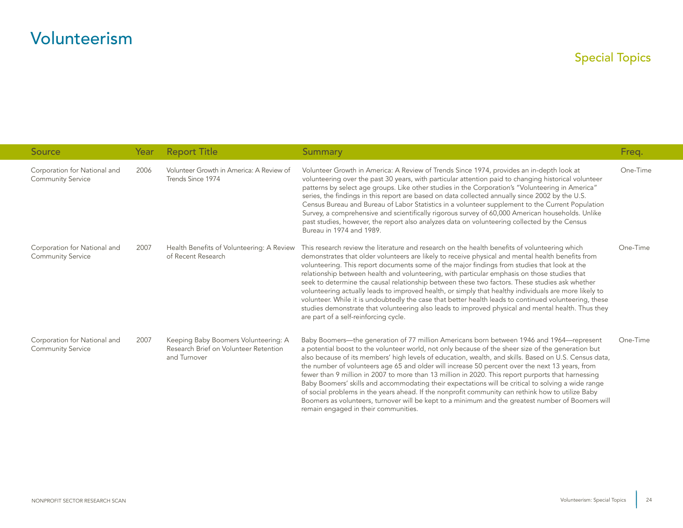<span id="page-24-0"></span>

| Source                                                   | Year | <b>Report Title</b>                                                                           | Summary                                                                                                                                                                                                                                                                                                                                                                                                                                                                                                                                                                                                                                                                                                                                                                                                                                                                  | Freq.    |
|----------------------------------------------------------|------|-----------------------------------------------------------------------------------------------|--------------------------------------------------------------------------------------------------------------------------------------------------------------------------------------------------------------------------------------------------------------------------------------------------------------------------------------------------------------------------------------------------------------------------------------------------------------------------------------------------------------------------------------------------------------------------------------------------------------------------------------------------------------------------------------------------------------------------------------------------------------------------------------------------------------------------------------------------------------------------|----------|
| Corporation for National and<br><b>Community Service</b> | 2006 | Volunteer Growth in America: A Review of<br>Trends Since 1974                                 | Volunteer Growth in America: A Review of Trends Since 1974, provides an in-depth look at<br>volunteering over the past 30 years, with particular attention paid to changing historical volunteer<br>patterns by select age groups. Like other studies in the Corporation's "Volunteering in America"<br>series, the findings in this report are based on data collected annually since 2002 by the U.S.<br>Census Bureau and Bureau of Labor Statistics in a volunteer supplement to the Current Population<br>Survey, a comprehensive and scientifically rigorous survey of 60,000 American households. Unlike<br>past studies, however, the report also analyzes data on volunteering collected by the Census<br>Bureau in 1974 and 1989.                                                                                                                              | One-Time |
| Corporation for National and<br><b>Community Service</b> | 2007 | Health Benefits of Volunteering: A Review<br>of Recent Research                               | This research review the literature and research on the health benefits of volunteering which<br>demonstrates that older volunteers are likely to receive physical and mental health benefits from<br>volunteering. This report documents some of the major findings from studies that look at the<br>relationship between health and volunteering, with particular emphasis on those studies that<br>seek to determine the causal relationship between these two factors. These studies ask whether<br>volunteering actually leads to improved health, or simply that healthy individuals are more likely to<br>volunteer. While it is undoubtedly the case that better health leads to continued volunteering, these<br>studies demonstrate that volunteering also leads to improved physical and mental health. Thus they<br>are part of a self-reinforcing cycle.    | One-Time |
| Corporation for National and<br><b>Community Service</b> | 2007 | Keeping Baby Boomers Volunteering: A<br>Research Brief on Volunteer Retention<br>and Turnover | Baby Boomers—the generation of 77 million Americans born between 1946 and 1964—represent<br>a potential boost to the volunteer world, not only because of the sheer size of the generation but<br>also because of its members' high levels of education, wealth, and skills. Based on U.S. Census data,<br>the number of volunteers age 65 and older will increase 50 percent over the next 13 years, from<br>fewer than 9 million in 2007 to more than 13 million in 2020. This report purports that harnessing<br>Baby Boomers' skills and accommodating their expectations will be critical to solving a wide range<br>of social problems in the years ahead. If the nonprofit community can rethink how to utilize Baby<br>Boomers as volunteers, turnover will be kept to a minimum and the greatest number of Boomers will<br>remain engaged in their communities. | One-Time |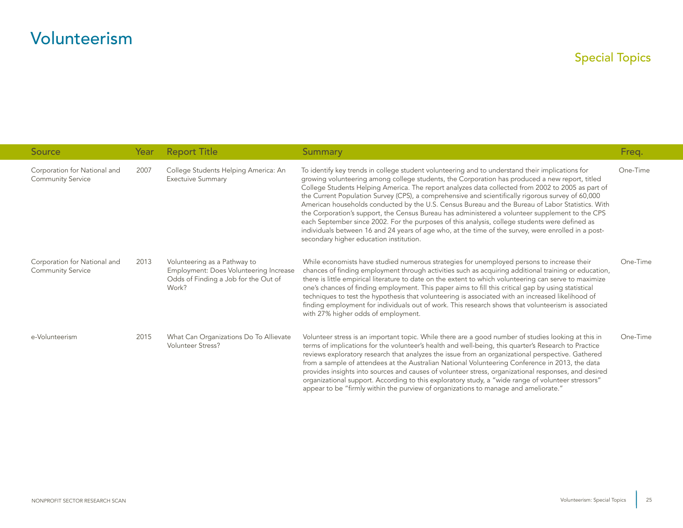| <b>Source</b>                                            | Year | <b>Report Title</b>                                                                                                     | Summary                                                                                                                                                                                                                                                                                                                                                                                                                                                                                                                                                                                                                                                                                                                                                                                                                                                                | Freq.    |
|----------------------------------------------------------|------|-------------------------------------------------------------------------------------------------------------------------|------------------------------------------------------------------------------------------------------------------------------------------------------------------------------------------------------------------------------------------------------------------------------------------------------------------------------------------------------------------------------------------------------------------------------------------------------------------------------------------------------------------------------------------------------------------------------------------------------------------------------------------------------------------------------------------------------------------------------------------------------------------------------------------------------------------------------------------------------------------------|----------|
| Corporation for National and<br><b>Community Service</b> | 2007 | College Students Helping America: An<br><b>Exectuive Summary</b>                                                        | To identify key trends in college student volunteering and to understand their implications for<br>growing volunteering among college students, the Corporation has produced a new report, titled<br>College Students Helping America. The report analyzes data collected from 2002 to 2005 as part of<br>the Current Population Survey (CPS), a comprehensive and scientifically rigorous survey of 60,000<br>American households conducted by the U.S. Census Bureau and the Bureau of Labor Statistics. With<br>the Corporation's support, the Census Bureau has administered a volunteer supplement to the CPS<br>each September since 2002. For the purposes of this analysis, college students were defined as<br>individuals between 16 and 24 years of age who, at the time of the survey, were enrolled in a post-<br>secondary higher education institution. | One-Time |
| Corporation for National and<br><b>Community Service</b> | 2013 | Volunteering as a Pathway to<br>Employment: Does Volunteering Increase<br>Odds of Finding a Job for the Out of<br>Work? | While economists have studied numerous strategies for unemployed persons to increase their<br>chances of finding employment through activities such as acquiring additional training or education,<br>there is little empirical literature to date on the extent to which volunteering can serve to maximize<br>one's chances of finding employment. This paper aims to fill this critical gap by using statistical<br>techniques to test the hypothesis that volunteering is associated with an increased likelihood of<br>finding employment for individuals out of work. This research shows that volunteerism is associated<br>with 27% higher odds of employment.                                                                                                                                                                                                 | One-Time |
| e-Volunteerism                                           | 2015 | What Can Organizations Do To Allievate<br><b>Volunteer Stress?</b>                                                      | Volunteer stress is an important topic. While there are a good number of studies looking at this in<br>terms of implications for the volunteer's health and well-being, this quarter's Research to Practice<br>reviews exploratory research that analyzes the issue from an organizational perspective. Gathered<br>from a sample of attendees at the Australian National Volunteering Conference in 2013, the data<br>provides insights into sources and causes of volunteer stress, organizational responses, and desired<br>organizational support. According to this exploratory study, a "wide range of volunteer stressors"<br>appear to be "firmly within the purview of organizations to manage and ameliorate."                                                                                                                                               | One-Time |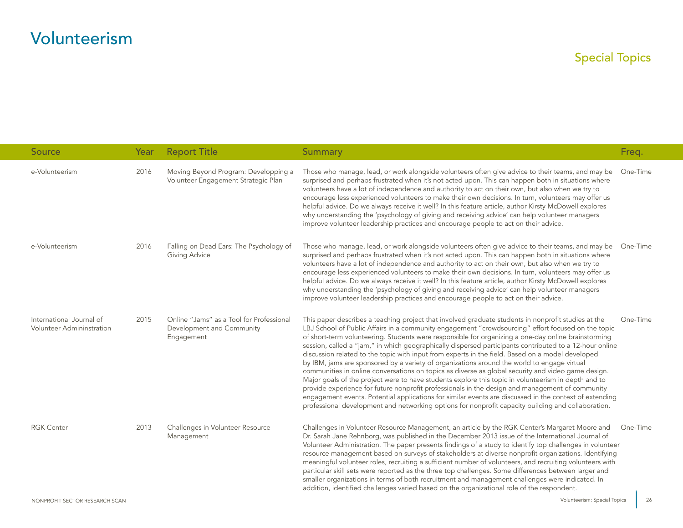### Special Topics

| Source                                                | Year | <b>Report Title</b>                                                                 | <b>Summary</b>                                                                                                                                                                                                                                                                                                                                                                                                                                                                                                                                                                                                                                                                                                                                                                                                                                                                                                                                                                                                                                                                                                                                                 | Freq.    |
|-------------------------------------------------------|------|-------------------------------------------------------------------------------------|----------------------------------------------------------------------------------------------------------------------------------------------------------------------------------------------------------------------------------------------------------------------------------------------------------------------------------------------------------------------------------------------------------------------------------------------------------------------------------------------------------------------------------------------------------------------------------------------------------------------------------------------------------------------------------------------------------------------------------------------------------------------------------------------------------------------------------------------------------------------------------------------------------------------------------------------------------------------------------------------------------------------------------------------------------------------------------------------------------------------------------------------------------------|----------|
| e-Volunteerism                                        | 2016 | Moving Beyond Program: Developping a<br>Volunteer Engagement Strategic Plan         | Those who manage, lead, or work alongside volunteers often give advice to their teams, and may be<br>surprised and perhaps frustrated when it's not acted upon. This can happen both in situations where<br>volunteers have a lot of independence and authority to act on their own, but also when we try to<br>encourage less experienced volunteers to make their own decisions. In turn, volunteers may offer us<br>helpful advice. Do we always receive it well? In this feature article, author Kirsty McDowell explores<br>why understanding the 'psychology of giving and receiving advice' can help volunteer managers<br>improve volunteer leadership practices and encourage people to act on their advice.                                                                                                                                                                                                                                                                                                                                                                                                                                          | One-Time |
| e-Volunteerism                                        | 2016 | Falling on Dead Ears: The Psychology of<br><b>Giving Advice</b>                     | Those who manage, lead, or work alongside volunteers often give advice to their teams, and may be<br>surprised and perhaps frustrated when it's not acted upon. This can happen both in situations where<br>volunteers have a lot of independence and authority to act on their own, but also when we try to<br>encourage less experienced volunteers to make their own decisions. In turn, volunteers may offer us<br>helpful advice. Do we always receive it well? In this feature article, author Kirsty McDowell explores<br>why understanding the 'psychology of giving and receiving advice' can help volunteer managers<br>improve volunteer leadership practices and encourage people to act on their advice.                                                                                                                                                                                                                                                                                                                                                                                                                                          | One-Time |
| International Journal of<br>Volunteer Admininstration | 2015 | Online "Jams" as a Tool for Professional<br>Development and Community<br>Engagement | This paper describes a teaching project that involved graduate students in nonprofit studies at the<br>LBJ School of Public Affairs in a community engagement "crowdsourcing" effort focused on the topic<br>of short-term volunteering. Students were responsible for organizing a one-day online brainstorming<br>session, called a "jam," in which geographically dispersed participants contributed to a 12-hour online<br>discussion related to the topic with input from experts in the field. Based on a model developed<br>by IBM, jams are sponsored by a variety of organizations around the world to engage virtual<br>communities in online conversations on topics as diverse as global security and video game design.<br>Major goals of the project were to have students explore this topic in volunteerism in depth and to<br>provide experience for future nonprofit professionals in the design and management of community<br>engagement events. Potential applications for similar events are discussed in the context of extending<br>professional development and networking options for nonprofit capacity building and collaboration. | One-Time |
| <b>RGK Center</b>                                     | 2013 | Challenges in Volunteer Resource<br>Management                                      | Challenges in Volunteer Resource Management, an article by the RGK Center's Margaret Moore and<br>Dr. Sarah Jane Rehnborg, was published in the December 2013 issue of the International Journal of<br>Volunteer Administration. The paper presents findings of a study to identify top challenges in volunteer<br>resource management based on surveys of stakeholders at diverse nonprofit organizations. Identifying<br>meaningful volunteer roles, recruiting a sufficient number of volunteers, and recruiting volunteers with<br>particular skill sets were reported as the three top challenges. Some differences between larger and<br>smaller organizations in terms of both recruitment and management challenges were indicated. In<br>addition, identified challenges varied based on the organizational role of the respondent.                                                                                                                                                                                                                                                                                                                   | One-Time |

26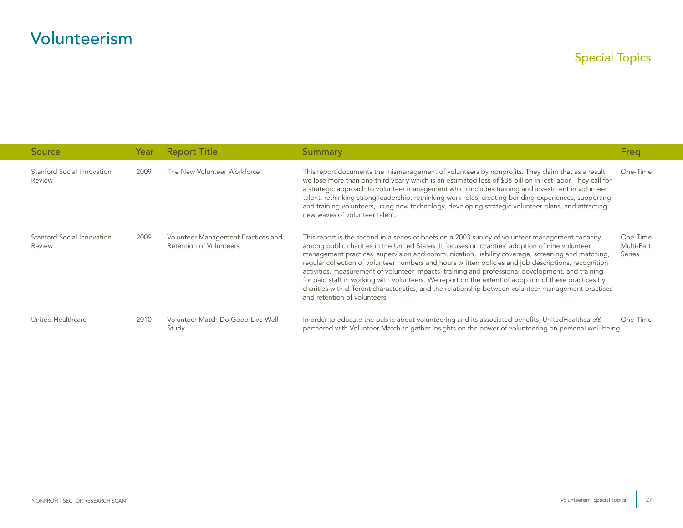| Source                               | Year | <b>Report Title</b>                                           | Summary                                                                                                                                                                                                                                                                                                                                                                                                                                                                                                                                                                                                                                                                                                                                                                 | Freg.                            |
|--------------------------------------|------|---------------------------------------------------------------|-------------------------------------------------------------------------------------------------------------------------------------------------------------------------------------------------------------------------------------------------------------------------------------------------------------------------------------------------------------------------------------------------------------------------------------------------------------------------------------------------------------------------------------------------------------------------------------------------------------------------------------------------------------------------------------------------------------------------------------------------------------------------|----------------------------------|
| Stanford Social Innovation<br>Review | 2009 | The New Volunteer Workforce                                   | This report documents the mismanagement of volunteers by nonprofits. They claim that as a result<br>we lose more than one third yearly which is an estimated loss of \$38 billion in lost labor. They call for<br>a strategic approach to volunteer management which includes training and investment in volunteer<br>talent, rethinking strong leadership, rethinking work roles, creating bonding experiences, supporting<br>and training volunteers, using new technology, developing strategic volunteer plans, and attracting<br>new waves of volunteer talent.                                                                                                                                                                                                    | One-Time                         |
| Stanford Social Innovation<br>Review | 2009 | Volunteer Management Practices and<br>Retention of Volunteers | This report is the second in a series of briefs on a 2003 survey of volunteer management capacity<br>among public charities in the United States. It focuses on charities' adoption of nine volunteer<br>management practices: supervision and communication, liability coverage, screening and matching,<br>reqular collection of volunteer numbers and hours written policies and job descriptions, recognition<br>activities, measurement of volunteer impacts, training and professional development, and training<br>for paid staff in working with volunteers. We report on the extent of adoption of these practices by<br>charities with different characteristics, and the relationship between volunteer management practices<br>and retention of volunteers. | One-Time<br>Multi-Part<br>Series |
| United Healthcare                    | 2010 | Volunteer Match Do Good Live Well<br>Study                    | In order to educate the public about volunteering and its associated benefits, UnitedHealthcare®<br>partnered with Volunteer Match to gather insights on the power of volunteering on personal well-being.                                                                                                                                                                                                                                                                                                                                                                                                                                                                                                                                                              | One-Time                         |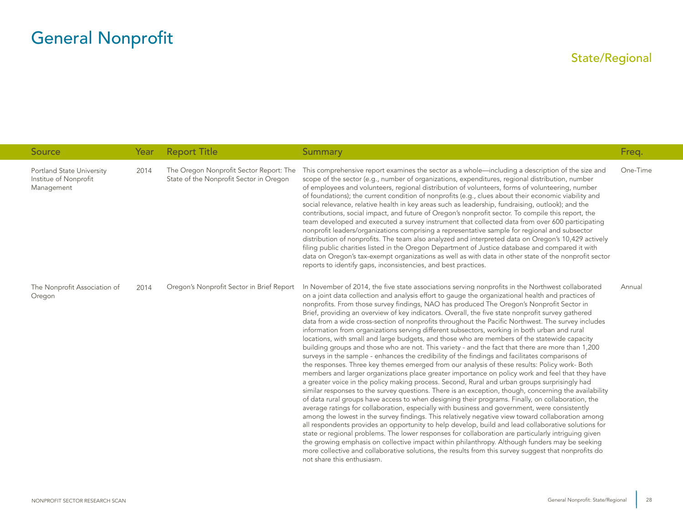<span id="page-28-0"></span>

| Source                                                           | Year | <b>Report Title</b>                                                                | <b>Summary</b>                                                                                                                                                                                                                                                                                                                                                                                                                                                                                                                                                                                                                                                                                                                                                                                                                                                                                                                                                                                                                                                                                                                                                                                                                                                                                                                                                                                                                                                                                                                                                                                                                                                                                                                                                                                                                                                                                                                                                                                                                                                                                          | Freq.    |
|------------------------------------------------------------------|------|------------------------------------------------------------------------------------|---------------------------------------------------------------------------------------------------------------------------------------------------------------------------------------------------------------------------------------------------------------------------------------------------------------------------------------------------------------------------------------------------------------------------------------------------------------------------------------------------------------------------------------------------------------------------------------------------------------------------------------------------------------------------------------------------------------------------------------------------------------------------------------------------------------------------------------------------------------------------------------------------------------------------------------------------------------------------------------------------------------------------------------------------------------------------------------------------------------------------------------------------------------------------------------------------------------------------------------------------------------------------------------------------------------------------------------------------------------------------------------------------------------------------------------------------------------------------------------------------------------------------------------------------------------------------------------------------------------------------------------------------------------------------------------------------------------------------------------------------------------------------------------------------------------------------------------------------------------------------------------------------------------------------------------------------------------------------------------------------------------------------------------------------------------------------------------------------------|----------|
| Portland State University<br>Institue of Nonprofit<br>Management | 2014 | The Oregon Nonprofit Sector Report: The<br>State of the Nonprofit Sector in Oregon | This comprehensive report examines the sector as a whole—including a description of the size and<br>scope of the sector (e.g., number of organizations, expenditures, regional distribution, number<br>of employees and volunteers, regional distribution of volunteers, forms of volunteering, number<br>of foundations); the current condition of nonprofits (e.g., clues about their economic viability and<br>social relevance, relative health in key areas such as leadership, fundraising, outlook); and the<br>contributions, social impact, and future of Oregon's nonprofit sector. To compile this report, the<br>team developed and executed a survey instrument that collected data from over 600 participating<br>nonprofit leaders/organizations comprising a representative sample for regional and subsector<br>distribution of nonprofits. The team also analyzed and interpreted data on Oregon's 10,429 actively<br>filing public charities listed in the Oregon Department of Justice database and compared it with<br>data on Oregon's tax-exempt organizations as well as with data in other state of the nonprofit sector<br>reports to identify gaps, inconsistencies, and best practices.                                                                                                                                                                                                                                                                                                                                                                                                                                                                                                                                                                                                                                                                                                                                                                                                                                                                                     | One-Time |
| The Nonprofit Association of<br>Oregon                           | 2014 | Oregon's Nonprofit Sector in Brief Report                                          | In November of 2014, the five state associations serving nonprofits in the Northwest collaborated<br>on a joint data collection and analysis effort to gauge the organizational health and practices of<br>nonprofits. From those survey findings, NAO has produced The Oregon's Nonprofit Sector in<br>Brief, providing an overview of key indicators. Overall, the five state nonprofit survey gathered<br>data from a wide cross-section of nonprofits throughout the Pacific Northwest. The survey includes<br>information from organizations serving different subsectors, working in both urban and rural<br>locations, with small and large budgets, and those who are members of the statewide capacity<br>building groups and those who are not. This variety - and the fact that there are more than 1,200<br>surveys in the sample - enhances the credibility of the findings and facilitates comparisons of<br>the responses. Three key themes emerged from our analysis of these results: Policy work- Both<br>members and larger organizations place greater importance on policy work and feel that they have<br>a greater voice in the policy making process. Second, Rural and urban groups surprisingly had<br>similar responses to the survey questions. There is an exception, though, concerning the availability<br>of data rural groups have access to when designing their programs. Finally, on collaboration, the<br>average ratings for collaboration, especially with business and government, were consistently<br>among the lowest in the survey findings. This relatively negative view toward collaboration among<br>all respondents provides an opportunity to help develop, build and lead collaborative solutions for<br>state or regional problems. The lower responses for collaboration are particularly intriguing given<br>the growing emphasis on collective impact within philanthropy. Although funders may be seeking<br>more collective and collaborative solutions, the results from this survey suggest that nonprofits do<br>not share this enthusiasm. | Annual   |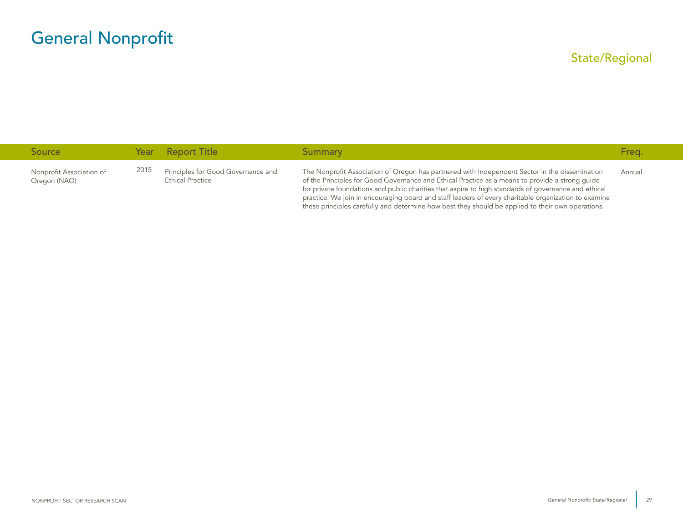| <b>Source</b>                            |      | Year Report Title                                             | Summary                                                                                                                                                                                                                                                                                                                                                                                                                                                                                                                | Freg.  |
|------------------------------------------|------|---------------------------------------------------------------|------------------------------------------------------------------------------------------------------------------------------------------------------------------------------------------------------------------------------------------------------------------------------------------------------------------------------------------------------------------------------------------------------------------------------------------------------------------------------------------------------------------------|--------|
| Nonprofit Association of<br>Oregon (NAO) | 2015 | Principles for Good Governance and<br><b>Ethical Practice</b> | The Nonprofit Association of Oregon has partnered with Independent Sector in the dissemination<br>of the Principles for Good Governance and Ethical Practice as a means to provide a strong quide<br>for private foundations and public charities that aspire to high standards of governance and ethical<br>practice. We join in encouraging board and staff leaders of every charitable organization to examine<br>these principles carefully and determine how best they should be applied to their own operations. | Annual |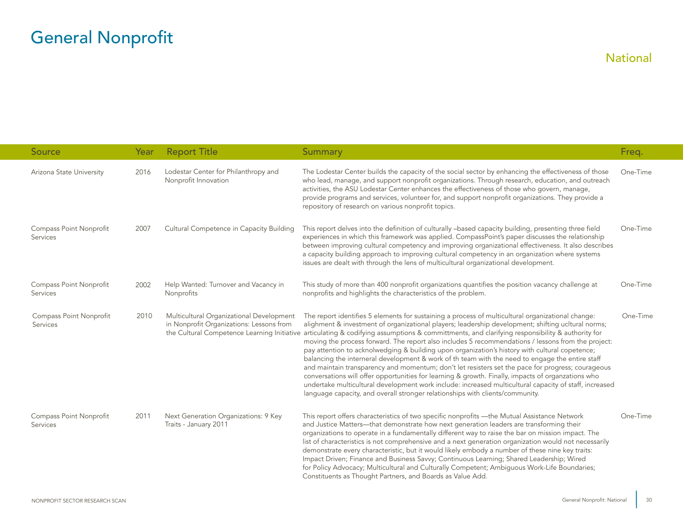<span id="page-30-0"></span>

| <b>Source</b>                       | Year | <b>Report Title</b>                                                                  | <b>Summary</b>                                                                                                                                                                                                                                                                                                                                                                                                                                                                                                                                                                                                                                                                                                                                                                                                                                                                                                                                                                                                                                                             | Freq.    |
|-------------------------------------|------|--------------------------------------------------------------------------------------|----------------------------------------------------------------------------------------------------------------------------------------------------------------------------------------------------------------------------------------------------------------------------------------------------------------------------------------------------------------------------------------------------------------------------------------------------------------------------------------------------------------------------------------------------------------------------------------------------------------------------------------------------------------------------------------------------------------------------------------------------------------------------------------------------------------------------------------------------------------------------------------------------------------------------------------------------------------------------------------------------------------------------------------------------------------------------|----------|
| Arizona State University            | 2016 | Lodestar Center for Philanthropy and<br>Nonprofit Innovation                         | The Lodestar Center builds the capacity of the social sector by enhancing the effectiveness of those<br>who lead, manage, and support nonprofit organizations. Through research, education, and outreach<br>activities, the ASU Lodestar Center enhances the effectiveness of those who govern, manage,<br>provide programs and services, volunteer for, and support nonprofit organizations. They provide a<br>repository of research on various nonprofit topics.                                                                                                                                                                                                                                                                                                                                                                                                                                                                                                                                                                                                        | One-Time |
| Compass Point Nonprofit<br>Services | 2007 | Cultural Competence in Capacity Building                                             | This report delves into the definition of culturally -based capacity building, presenting three field<br>experiences in which this framework was applied. CompassPoint's paper discusses the relationship<br>between improving cultural competency and improving organizational effectiveness. It also describes<br>a capacity building approach to improving cultural competency in an organization where systems<br>issues are dealt with through the lens of multicultural organizational development.                                                                                                                                                                                                                                                                                                                                                                                                                                                                                                                                                                  | One-Time |
| Compass Point Nonprofit<br>Services | 2002 | Help Wanted: Turnover and Vacancy in<br>Nonprofits                                   | This study of more than 400 nonprofit organizations quantifies the position vacancy challenge at<br>nonprofits and highlights the characteristics of the problem.                                                                                                                                                                                                                                                                                                                                                                                                                                                                                                                                                                                                                                                                                                                                                                                                                                                                                                          | One-Time |
| Compass Point Nonprofit<br>Services | 2010 | Multicultural Organizational Development<br>in Nonprofit Organizations: Lessons from | The report identifies 5 elements for sustaining a process of multicultural organizational change:<br>alighment & investment of organizational players; leadership development; shifting ucltural norms;<br>the Cultural Competence Learning Initiative articulating & codifying assumptions & committments, and clarifying responsibility & authority for<br>moving the process forward. The report also includes 5 recommendations / lessons from the project:<br>pay attention to acknolwedging & building upon organization's history with cultural copetence;<br>balancing the interneral development & work of th team with the need to engage the entire staff<br>and maintain transparency and momentum; don't let resisters set the pace for progress; courageous<br>conversations will offer opportunities for learning & growth. Finally, impacts of organzations who<br>undertake multicultural development work include: increased multicultural capacity of staff, increased<br>language capacity, and overall stronger relationships with clients/community. | One-Time |
| Compass Point Nonprofit<br>Services | 2011 | Next Generation Organizations: 9 Key<br>Traits - January 2011                        | This report offers characteristics of two specific nonprofits - the Mutual Assistance Network<br>and Justice Matters---that demonstrate how next generation leaders are transforming their<br>organizations to operate in a fundamentally different way to raise the bar on mission impact. The<br>list of characteristics is not comprehensive and a next generation organization would not necessarily<br>demonstrate every characteristic, but it would likely embody a number of these nine key traits:<br>Impact Driven; Finance and Business Savvy; Continuous Learning; Shared Leadership; Wired<br>for Policy Advocacy; Multicultural and Culturally Competent; Ambiguous Work-Life Boundaries;<br>Constituents as Thought Partners, and Boards as Value Add.                                                                                                                                                                                                                                                                                                      | One-Time |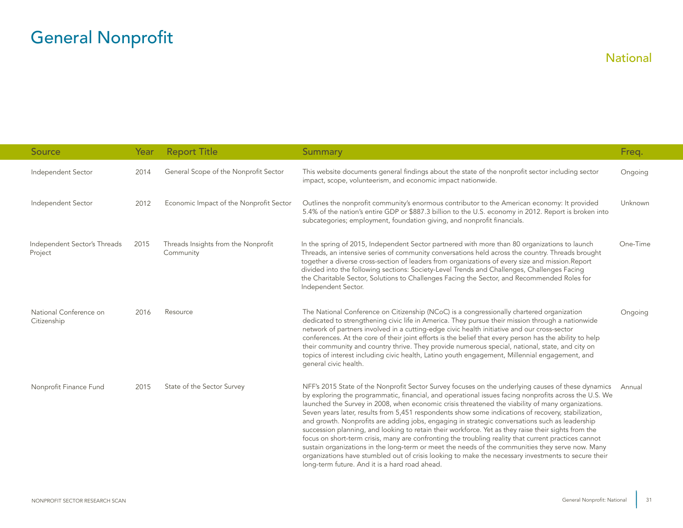| Source                                  | Year | <b>Report Title</b>                              | Summary                                                                                                                                                                                                                                                                                                                                                                                                                                                                                                                                                                                                                                                                                                                                                                                                                                                                                                                                                                                               | Freq.    |
|-----------------------------------------|------|--------------------------------------------------|-------------------------------------------------------------------------------------------------------------------------------------------------------------------------------------------------------------------------------------------------------------------------------------------------------------------------------------------------------------------------------------------------------------------------------------------------------------------------------------------------------------------------------------------------------------------------------------------------------------------------------------------------------------------------------------------------------------------------------------------------------------------------------------------------------------------------------------------------------------------------------------------------------------------------------------------------------------------------------------------------------|----------|
| Independent Sector                      | 2014 | General Scope of the Nonprofit Sector            | This website documents general findings about the state of the nonprofit sector including sector<br>impact, scope, volunteerism, and economic impact nationwide.                                                                                                                                                                                                                                                                                                                                                                                                                                                                                                                                                                                                                                                                                                                                                                                                                                      | Ongoing  |
| Independent Sector                      | 2012 | Economic Impact of the Nonprofit Sector          | Outlines the nonprofit community's enormous contributor to the American economy: It provided<br>5.4% of the nation's entire GDP or \$887.3 billion to the U.S. economy in 2012. Report is broken into<br>subcategories; employment, foundation giving, and nonprofit financials.                                                                                                                                                                                                                                                                                                                                                                                                                                                                                                                                                                                                                                                                                                                      | Unknown  |
| Independent Sector's Threads<br>Project | 2015 | Threads Insights from the Nonprofit<br>Community | In the spring of 2015, Independent Sector partnered with more than 80 organizations to launch<br>Threads, an intensive series of community conversations held across the country. Threads brought<br>together a diverse cross-section of leaders from organizations of every size and mission.Report<br>divided into the following sections: Society-Level Trends and Challenges, Challenges Facing<br>the Charitable Sector, Solutions to Challenges Facing the Sector, and Recommended Roles for<br>Independent Sector.                                                                                                                                                                                                                                                                                                                                                                                                                                                                             | One-Time |
| National Conference on<br>Citizenship   | 2016 | Resource                                         | The National Conference on Citizenship (NCoC) is a congressionally chartered organization<br>dedicated to strengthening civic life in America. They pursue their mission through a nationwide<br>network of partners involved in a cutting-edge civic health initiative and our cross-sector<br>conferences. At the core of their joint efforts is the belief that every person has the ability to help<br>their community and country thrive. They provide numerous special, national, state, and city on<br>topics of interest including civic health, Latino youth engagement, Millennial engagement, and<br>general civic health.                                                                                                                                                                                                                                                                                                                                                                 | Ongoing  |
| Nonprofit Finance Fund                  | 2015 | State of the Sector Survey                       | NFF's 2015 State of the Nonprofit Sector Survey focuses on the underlying causes of these dynamics<br>by exploring the programmatic, financial, and operational issues facing nonprofits across the U.S. We<br>launched the Survey in 2008, when economic crisis threatened the viability of many organizations.<br>Seven years later, results from 5,451 respondents show some indications of recovery, stabilization,<br>and growth. Nonprofits are adding jobs, engaging in strategic conversations such as leadership<br>succession planning, and looking to retain their workforce. Yet as they raise their sights from the<br>focus on short-term crisis, many are confronting the troubling reality that current practices cannot<br>sustain organizations in the long-term or meet the needs of the communities they serve now. Many<br>organizations have stumbled out of crisis looking to make the necessary investments to secure their<br>long-term future. And it is a hard road ahead. | Annual   |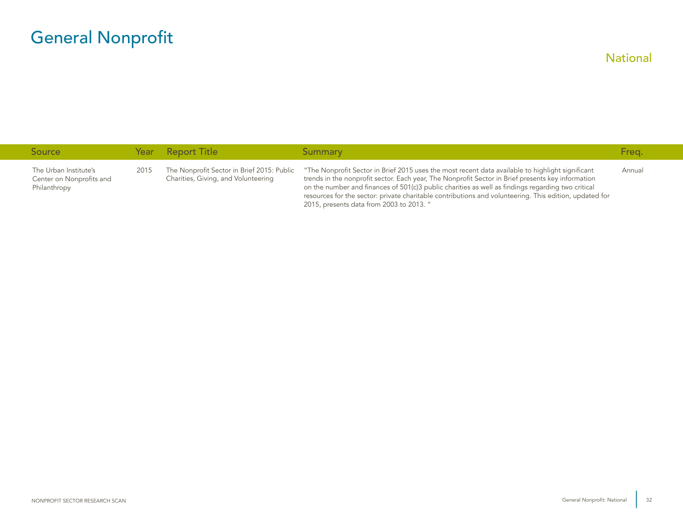| <b>Source</b>                                                     |      | Year Report Title                                                                 | Summary                                                                                                                                                                                                                                                                                                                                                                                                                                                          | Freg.  |
|-------------------------------------------------------------------|------|-----------------------------------------------------------------------------------|------------------------------------------------------------------------------------------------------------------------------------------------------------------------------------------------------------------------------------------------------------------------------------------------------------------------------------------------------------------------------------------------------------------------------------------------------------------|--------|
| The Urban Institute's<br>Center on Nonprofits and<br>Philanthropy | 2015 | The Nonprofit Sector in Brief 2015: Public<br>Charities, Giving, and Volunteering | "The Nonprofit Sector in Brief 2015 uses the most recent data available to highlight significant<br>trends in the nonprofit sector. Each year, The Nonprofit Sector in Brief presents key information<br>on the number and finances of 501(c)3 public charities as well as findings regarding two critical<br>resources for the sector: private charitable contributions and volunteering. This edition, updated for<br>2015, presents data from 2003 to 2013. " | Annual |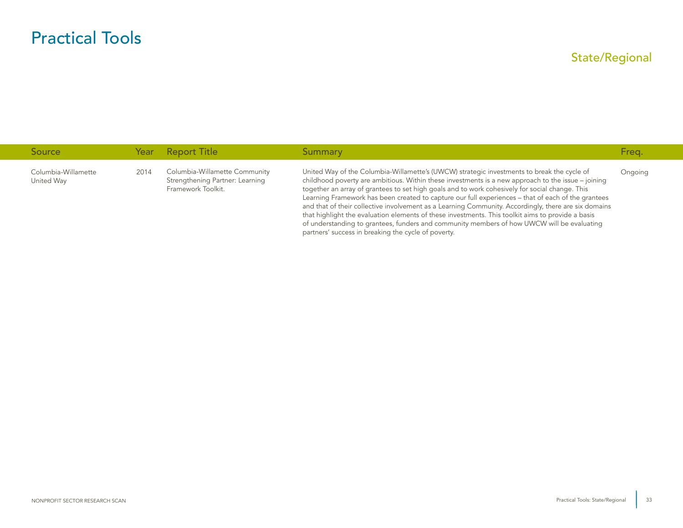<span id="page-33-0"></span>

| <b>Source</b>                     |      | Year Report Title                                                                      | Summary                                                                                                                                                                                                                                                                                                                                                                                                                                                                                                                                                                                                                                                                                                                                                                      | Freq.   |
|-----------------------------------|------|----------------------------------------------------------------------------------------|------------------------------------------------------------------------------------------------------------------------------------------------------------------------------------------------------------------------------------------------------------------------------------------------------------------------------------------------------------------------------------------------------------------------------------------------------------------------------------------------------------------------------------------------------------------------------------------------------------------------------------------------------------------------------------------------------------------------------------------------------------------------------|---------|
| Columbia-Willamette<br>United Way | 2014 | Columbia-Willamette Community<br>Strengthening Partner: Learning<br>Framework Toolkit. | United Way of the Columbia-Willamette's (UWCW) strategic investments to break the cycle of<br>childhood poverty are ambitious. Within these investments is a new approach to the issue $-$ joining<br>together an array of grantees to set high goals and to work cohesively for social change. This<br>Learning Framework has been created to capture our full experiences – that of each of the grantees<br>and that of their collective involvement as a Learning Community. Accordingly, there are six domains<br>that highlight the evaluation elements of these investments. This toolkit aims to provide a basis<br>of understanding to grantees, funders and community members of how UWCW will be evaluating<br>partners' success in breaking the cycle of poverty. | Ongoing |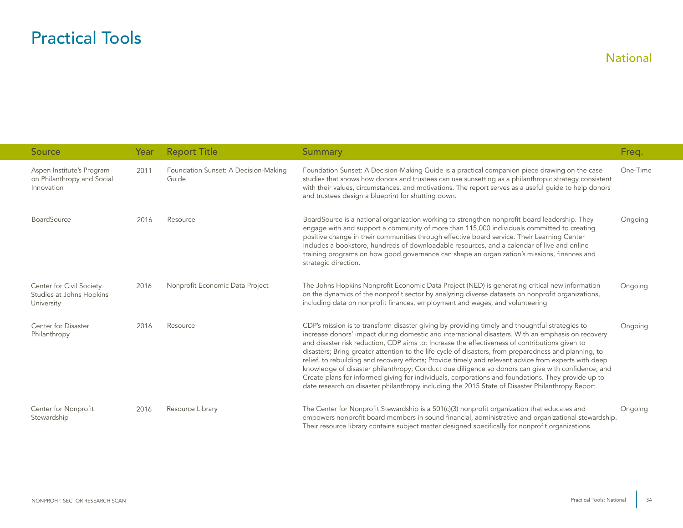<span id="page-34-0"></span>

| <b>Source</b>                                                         | Year | <b>Report Title</b>                           | Summary                                                                                                                                                                                                                                                                                                                                                                                                                                                                                                                                                                                                                                                                                                                                                                                                                                | Freq.    |
|-----------------------------------------------------------------------|------|-----------------------------------------------|----------------------------------------------------------------------------------------------------------------------------------------------------------------------------------------------------------------------------------------------------------------------------------------------------------------------------------------------------------------------------------------------------------------------------------------------------------------------------------------------------------------------------------------------------------------------------------------------------------------------------------------------------------------------------------------------------------------------------------------------------------------------------------------------------------------------------------------|----------|
| Aspen Institute's Program<br>on Philanthropy and Social<br>Innovation | 2011 | Foundation Sunset: A Decision-Making<br>Guide | Foundation Sunset: A Decision-Making Guide is a practical companion piece drawing on the case<br>studies that shows how donors and trustees can use sunsetting as a philanthropic strategy consistent<br>with their values, circumstances, and motivations. The report serves as a useful quide to help donors<br>and trustees design a blueprint for shutting down.                                                                                                                                                                                                                                                                                                                                                                                                                                                                   | One-Time |
| <b>BoardSource</b>                                                    | 2016 | Resource                                      | BoardSource is a national organization working to strengthen nonprofit board leadership. They<br>engage with and support a community of more than 115,000 individuals committed to creating<br>positive change in their communities through effective board service. Their Learning Center<br>includes a bookstore, hundreds of downloadable resources, and a calendar of live and online<br>training programs on how good governance can shape an organization's missions, finances and<br>strategic direction.                                                                                                                                                                                                                                                                                                                       | Ongoing  |
| Center for Civil Society<br>Studies at Johns Hopkins<br>University    | 2016 | Nonprofit Economic Data Project               | The Johns Hopkins Nonprofit Economic Data Project (NED) is generating critical new information<br>on the dynamics of the nonprofit sector by analyzing diverse datasets on nonprofit organizations,<br>including data on nonprofit finances, employment and wages, and volunteering                                                                                                                                                                                                                                                                                                                                                                                                                                                                                                                                                    | Ongoing  |
| Center for Disaster<br>Philanthropy                                   | 2016 | Resource                                      | CDP's mission is to transform disaster giving by providing timely and thoughtful strategies to<br>increase donors' impact during domestic and international disasters. With an emphasis on recovery<br>and disaster risk reduction, CDP aims to: Increase the effectiveness of contributions given to<br>disasters; Bring greater attention to the life cycle of disasters, from preparedness and planning, to<br>relief, to rebuilding and recovery efforts; Provide timely and relevant advice from experts with deep<br>knowledge of disaster philanthropy; Conduct due diligence so donors can give with confidence; and<br>Create plans for informed giving for individuals, corporations and foundations. They provide up to<br>date research on disaster philanthropy including the 2015 State of Disaster Philanthropy Report. | Ongoing  |
| Center for Nonprofit<br>Stewardship                                   | 2016 | Resource Library                              | The Center for Nonprofit Stewardship is a 501(c)(3) nonprofit organization that educates and<br>empowers nonprofit board members in sound financial, administrative and organizational stewardship.<br>Their resource library contains subject matter designed specifically for nonprofit organizations.                                                                                                                                                                                                                                                                                                                                                                                                                                                                                                                               | Ongoing  |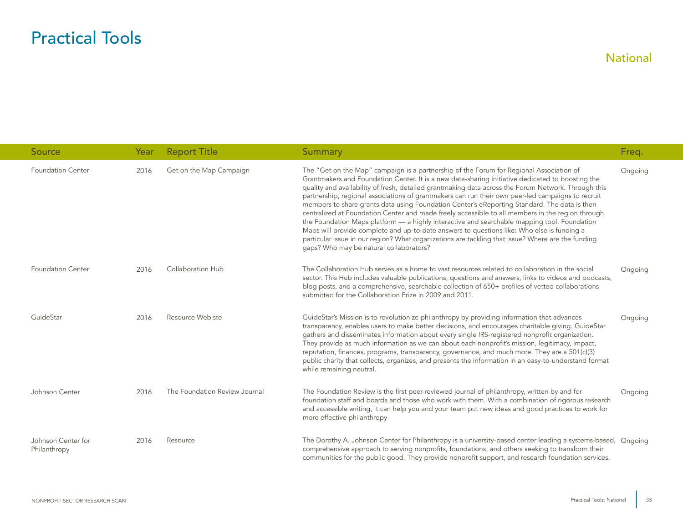| <b>Source</b>                      | Year | <b>Report Title</b>           | Summary                                                                                                                                                                                                                                                                                                                                                                                                                                                                                                                                                                                                                                                                                                                                                                                                                                                                                                                                                  | Freq.   |
|------------------------------------|------|-------------------------------|----------------------------------------------------------------------------------------------------------------------------------------------------------------------------------------------------------------------------------------------------------------------------------------------------------------------------------------------------------------------------------------------------------------------------------------------------------------------------------------------------------------------------------------------------------------------------------------------------------------------------------------------------------------------------------------------------------------------------------------------------------------------------------------------------------------------------------------------------------------------------------------------------------------------------------------------------------|---------|
| <b>Foundation Center</b>           | 2016 | Get on the Map Campaign       | The "Get on the Map" campaign is a partnership of the Forum for Regional Association of<br>Grantmakers and Foundation Center. It is a new data-sharing initiative dedicated to boosting the<br>quality and availability of fresh, detailed grantmaking data across the Forum Network. Through this<br>partnership, regional associations of grantmakers can run their own peer-led campaigns to recruit<br>members to share grants data using Foundation Center's eReporting Standard. The data is then<br>centralized at Foundation Center and made freely accessible to all members in the region through<br>the Foundation Maps platform — a highly interactive and searchable mapping tool. Foundation<br>Maps will provide complete and up-to-date answers to questions like: Who else is funding a<br>particular issue in our region? What organizations are tackling that issue? Where are the funding<br>gaps? Who may be natural collaborators? | Ongoing |
| <b>Foundation Center</b>           | 2016 | Collaboration Hub             | The Collaboration Hub serves as a home to vast resources related to collaboration in the social<br>sector. This Hub includes valuable publications, questions and answers, links to videos and podcasts,<br>blog posts, and a comprehensive, searchable collection of 650+ profiles of vetted collaborations<br>submitted for the Collaboration Prize in 2009 and 2011.                                                                                                                                                                                                                                                                                                                                                                                                                                                                                                                                                                                  | Ongoing |
| GuideStar                          | 2016 | Resource Webiste              | GuideStar's Mission is to revolutionize philanthropy by providing information that advances<br>transparency, enables users to make better decisions, and encourages charitable giving. GuideStar<br>gathers and disseminates information about every single IRS-registered nonprofit organization.<br>They provide as much information as we can about each nonprofit's mission, legitimacy, impact,<br>reputation, finances, programs, transparency, governance, and much more. They are a 501(c)(3)<br>public charity that collects, organizes, and presents the information in an easy-to-understand format<br>while remaining neutral.                                                                                                                                                                                                                                                                                                               | Ongoing |
| Johnson Center                     | 2016 | The Foundation Review Journal | The Foundation Review is the first peer-reviewed journal of philanthropy, written by and for<br>foundation staff and boards and those who work with them. With a combination of rigorous research<br>and accessible writing, it can help you and your team put new ideas and good practices to work for<br>more effective philanthropy                                                                                                                                                                                                                                                                                                                                                                                                                                                                                                                                                                                                                   | Ongoing |
| Johnson Center for<br>Philanthropy | 2016 | Resource                      | The Dorothy A. Johnson Center for Philanthropy is a university-based center leading a systems-based, Ongoing<br>comprehensive approach to serving nonprofits, foundations, and others seeking to transform their<br>communities for the public good. They provide nonprofit support, and research foundation services.                                                                                                                                                                                                                                                                                                                                                                                                                                                                                                                                                                                                                                   |         |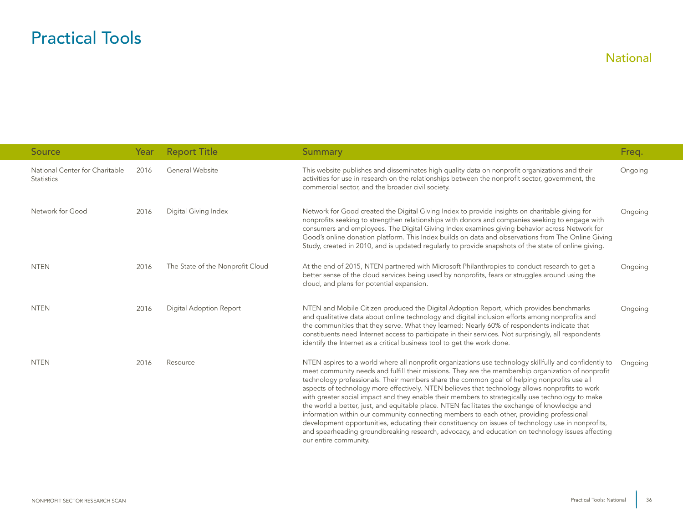| <b>Source</b>                                       | Year | <b>Report Title</b>              | <b>Summary</b>                                                                                                                                                                                                                                                                                                                                                                                                                                                                                                                                                                                                                                                                                                                                                                                                                                                                                                                                      | Freq.   |
|-----------------------------------------------------|------|----------------------------------|-----------------------------------------------------------------------------------------------------------------------------------------------------------------------------------------------------------------------------------------------------------------------------------------------------------------------------------------------------------------------------------------------------------------------------------------------------------------------------------------------------------------------------------------------------------------------------------------------------------------------------------------------------------------------------------------------------------------------------------------------------------------------------------------------------------------------------------------------------------------------------------------------------------------------------------------------------|---------|
| National Center for Charitable<br><b>Statistics</b> | 2016 | General Website                  | This website publishes and disseminates high quality data on nonprofit organizations and their<br>activities for use in research on the relationships between the nonprofit sector, government, the<br>commercial sector, and the broader civil society.                                                                                                                                                                                                                                                                                                                                                                                                                                                                                                                                                                                                                                                                                            | Ongoing |
| Network for Good                                    | 2016 | Digital Giving Index             | Network for Good created the Digital Giving Index to provide insights on charitable giving for<br>nonprofits seeking to strengthen relationships with donors and companies seeking to engage with<br>consumers and employees. The Digital Giving Index examines giving behavior across Network for<br>Good's online donation platform. This Index builds on data and observations from The Online Giving<br>Study, created in 2010, and is updated regularly to provide snapshots of the state of online giving.                                                                                                                                                                                                                                                                                                                                                                                                                                    | Ongoing |
| <b>NTEN</b>                                         | 2016 | The State of the Nonprofit Cloud | At the end of 2015, NTEN partnered with Microsoft Philanthropies to conduct research to get a<br>better sense of the cloud services being used by nonprofits, fears or struggles around using the<br>cloud, and plans for potential expansion.                                                                                                                                                                                                                                                                                                                                                                                                                                                                                                                                                                                                                                                                                                      | Ongoing |
| <b>NTEN</b>                                         | 2016 | Digital Adoption Report          | NTEN and Mobile Citizen produced the Digital Adoption Report, which provides benchmarks<br>and qualitative data about online technology and digital inclusion efforts among nonprofits and<br>the communities that they serve. What they learned: Nearly 60% of respondents indicate that<br>constituents need Internet access to participate in their services. Not surprisingly, all respondents<br>identify the Internet as a critical business tool to get the work done.                                                                                                                                                                                                                                                                                                                                                                                                                                                                       | Ongoing |
| <b>NTEN</b>                                         | 2016 | Resource                         | NTEN aspires to a world where all nonprofit organizations use technology skillfully and confidently to<br>meet community needs and fulfill their missions. They are the membership organization of nonprofit<br>technology professionals. Their members share the common goal of helping nonprofits use all<br>aspects of technology more effectively. NTEN believes that technology allows nonprofits to work<br>with greater social impact and they enable their members to strategically use technology to make<br>the world a better, just, and equitable place. NTEN facilitates the exchange of knowledge and<br>information within our community connecting members to each other, providing professional<br>development opportunities, educating their constituency on issues of technology use in nonprofits,<br>and spearheading groundbreaking research, advocacy, and education on technology issues affecting<br>our entire community. | Ongoing |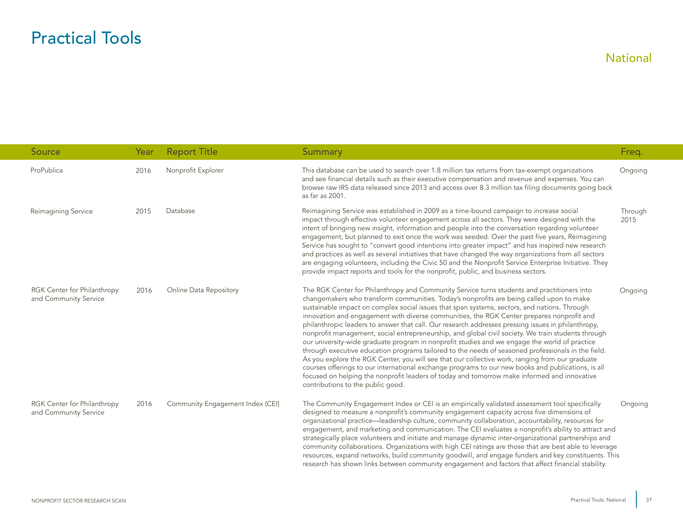| <b>Source</b>                                        | Year | <b>Report Title</b>              | Summary                                                                                                                                                                                                                                                                                                                                                                                                                                                                                                                                                                                                                                                                                                                                                                                                                                                                                                                                                                                                                                                                                                                                              | Freq.           |
|------------------------------------------------------|------|----------------------------------|------------------------------------------------------------------------------------------------------------------------------------------------------------------------------------------------------------------------------------------------------------------------------------------------------------------------------------------------------------------------------------------------------------------------------------------------------------------------------------------------------------------------------------------------------------------------------------------------------------------------------------------------------------------------------------------------------------------------------------------------------------------------------------------------------------------------------------------------------------------------------------------------------------------------------------------------------------------------------------------------------------------------------------------------------------------------------------------------------------------------------------------------------|-----------------|
| ProPublica                                           | 2016 | Nonprofit Explorer               | This database can be used to search over 1.8 million tax returns from tax-exempt organizations<br>and see financial details such as their executive compensation and revenue and expenses. You can<br>browse raw IRS data released since 2013 and access over 8.3 million tax filing documents going back<br>as far as 2001.                                                                                                                                                                                                                                                                                                                                                                                                                                                                                                                                                                                                                                                                                                                                                                                                                         | Ongoing         |
| Reimagining Service                                  | 2015 | Database                         | Reimagining Service was established in 2009 as a time-bound campaign to increase social<br>impact through effective volunteer engagement across all sectors. They were designed with the<br>intent of bringing new insight, information and people into the conversation regarding volunteer<br>engagement, but planned to exit once the work was seeded. Over the past five years, Reimagining<br>Service has sought to "convert good intentions into greater impact" and has inspired new research<br>and practices as well as several initiatives that have changed the way organizations from all sectors<br>are engaging volunteers, including the Civic 50 and the Nonprofit Service Enterprise Initiative. They<br>provide impact reports and tools for the nonprofit, public, and business sectors.                                                                                                                                                                                                                                                                                                                                          | Through<br>2015 |
| RGK Center for Philanthropy<br>and Community Service | 2016 | Online Data Repository           | The RGK Center for Philanthropy and Community Service turns students and practitioners into<br>changemakers who transform communities. Today's nonprofits are being called upon to make<br>sustainable impact on complex social issues that span systems, sectors, and nations. Through<br>innovation and engagement with diverse communities, the RGK Center prepares nonprofit and<br>philanthropic leaders to answer that call. Our research addresses pressing issues in philanthropy,<br>nonprofit management, social entrepreneurship, and global civil society. We train students through<br>our university-wide graduate program in nonprofit studies and we engage the world of practice<br>through executive education programs tailored to the needs of seasoned professionals in the field.<br>As you explore the RGK Center, you will see that our collective work, ranging from our graduate<br>courses offerings to our international exchange programs to our new books and publications, is all<br>focused on helping the nonprofit leaders of today and tomorrow make informed and innovative<br>contributions to the public good. | Ongoing         |
| RGK Center for Philanthropy<br>and Community Service | 2016 | Community Engagement Index (CEI) | The Community Engagement Index or CEI is an empirically validated assessment tool specifically<br>designed to measure a nonprofit's community engagement capacity across five dimensions of<br>organizational practice—leadership culture, community collaboration, accountability, resources for<br>engagement, and marketing and communication. The CEI evaluates a nonprofit's ability to attract and<br>strategically place volunteers and initiate and manage dynamic inter-organizational partnerships and<br>community collaborations. Organizations with high CEI ratings are those that are best able to leverage<br>resources, expand networks, build community goodwill, and engage funders and key constituents. This<br>research has shown links between community engagement and factors that affect financial stability.                                                                                                                                                                                                                                                                                                              | Ongoing         |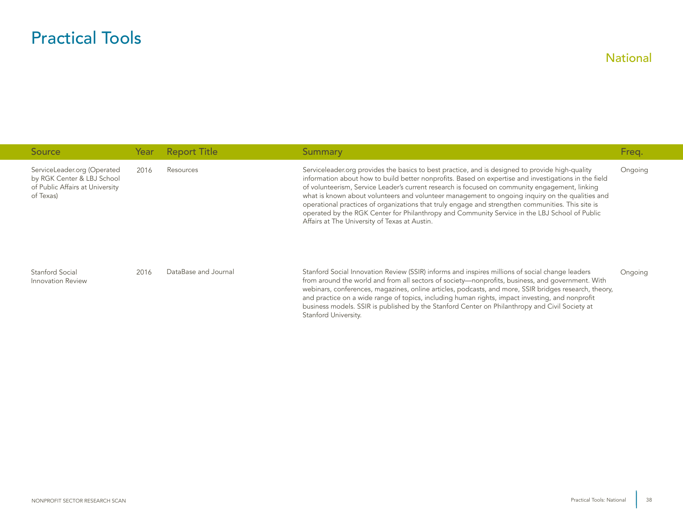| Source                                                                                                    | Year | <b>Report Title</b>  | Summary                                                                                                                                                                                                                                                                                                                                                                                                                                                                                                                                                                                                                                                             | Freq.   |
|-----------------------------------------------------------------------------------------------------------|------|----------------------|---------------------------------------------------------------------------------------------------------------------------------------------------------------------------------------------------------------------------------------------------------------------------------------------------------------------------------------------------------------------------------------------------------------------------------------------------------------------------------------------------------------------------------------------------------------------------------------------------------------------------------------------------------------------|---------|
| ServiceLeader.org (Operated<br>by RGK Center & LBJ School<br>of Public Affairs at University<br>of Texas) | 2016 | Resources            | Serviceleader org provides the basics to best practice, and is designed to provide high-quality<br>information about how to build better nonprofits. Based on expertise and investigations in the field<br>of volunteerism, Service Leader's current research is focused on community engagement, linking<br>what is known about volunteers and volunteer management to ongoing inquiry on the qualities and<br>operational practices of organizations that truly engage and strengthen communities. This site is<br>operated by the RGK Center for Philanthropy and Community Service in the LBJ School of Public<br>Affairs at The University of Texas at Austin. | Ongoing |
| Stanford Social<br>Innovation Review                                                                      | 2016 | DataBase and Journal | Stanford Social Innovation Review (SSIR) informs and inspires millions of social change leaders<br>from around the world and from all sectors of society—nonprofits, business, and government. With<br>webinars, conferences, magazines, online articles, podcasts, and more, SSIR bridges research, theory,<br>and practice on a wide range of topics, including human rights, impact investing, and nonprofit<br>business models. SSIR is published by the Stanford Center on Philanthropy and Civil Society at<br>Stanford University.                                                                                                                           | Ongoing |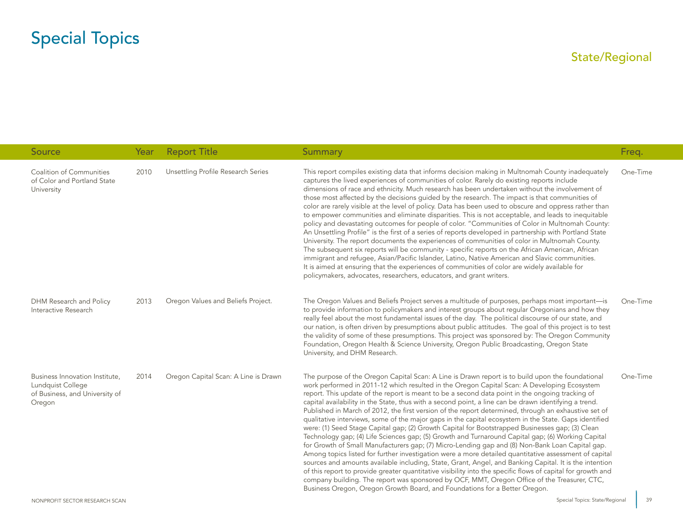#### State/Regional

<span id="page-39-0"></span>

| Source                                                                                          | Year | <b>Report Title</b>                  | <b>Summary</b>                                                                                                                                                                                                                                                                                                                                                                                                                                                                                                                                                                                                                                                                                                                                                                                                                                                                                                                                                                                                                                                                                                                                                                                                                                                                                                                                                                                                                                          | Freq.    |
|-------------------------------------------------------------------------------------------------|------|--------------------------------------|---------------------------------------------------------------------------------------------------------------------------------------------------------------------------------------------------------------------------------------------------------------------------------------------------------------------------------------------------------------------------------------------------------------------------------------------------------------------------------------------------------------------------------------------------------------------------------------------------------------------------------------------------------------------------------------------------------------------------------------------------------------------------------------------------------------------------------------------------------------------------------------------------------------------------------------------------------------------------------------------------------------------------------------------------------------------------------------------------------------------------------------------------------------------------------------------------------------------------------------------------------------------------------------------------------------------------------------------------------------------------------------------------------------------------------------------------------|----------|
| Coalition of Communities<br>of Color and Portland State<br>University                           | 2010 | Unsettling Profile Research Series   | This report compiles existing data that informs decision making in Multnomah County inadequately<br>captures the lived experiences of communities of color. Rarely do existing reports include<br>dimensions of race and ethnicity. Much research has been undertaken without the involvement of<br>those most affected by the decisions guided by the research. The impact is that communities of<br>color are rarely visible at the level of policy. Data has been used to obscure and oppress rather than<br>to empower communities and eliminate disparities. This is not acceptable, and leads to inequitable<br>policy and devastating outcomes for people of color. "Communities of Color in Multnomah County:<br>An Unsettling Profile" is the first of a series of reports developed in partnership with Portland State<br>University. The report documents the experiences of communities of color in Multnomah County.<br>The subsequent six reports will be community - specific reports on the African American, African<br>immigrant and refugee, Asian/Pacific Islander, Latino, Native American and Slavic communities.<br>It is aimed at ensuring that the experiences of communities of color are widely available for<br>policymakers, advocates, researchers, educators, and grant writers.                                                                                                                                         | One-Time |
| DHM Research and Policy<br>Interactive Research                                                 | 2013 | Oregon Values and Beliefs Project.   | The Oregon Values and Beliefs Project serves a multitude of purposes, perhaps most important-is<br>to provide information to policymakers and interest groups about regular Oregonians and how they<br>really feel about the most fundamental issues of the day. The political discourse of our state, and<br>our nation, is often driven by presumptions about public attitudes. The goal of this project is to test<br>the validity of some of these presumptions. This project was sponsored by: The Oregon Community<br>Foundation, Oregon Health & Science University, Oregon Public Broadcasting, Oregon State<br>University, and DHM Research.                                                                                                                                                                                                                                                                                                                                                                                                                                                                                                                                                                                                                                                                                                                                                                                                   | One-Time |
| Business Innovation Institute,<br>Lundquist College<br>of Business, and University of<br>Oregon | 2014 | Oregon Capital Scan: A Line is Drawn | The purpose of the Oregon Capital Scan: A Line is Drawn report is to build upon the foundational<br>work performed in 2011-12 which resulted in the Oregon Capital Scan: A Developing Ecosystem<br>report. This update of the report is meant to be a second data point in the ongoing tracking of<br>capital availability in the State, thus with a second point, a line can be drawn identifying a trend.<br>Published in March of 2012, the first version of the report determined, through an exhaustive set of<br>qualitative interviews, some of the major gaps in the capital ecosystem in the State. Gaps identified<br>were: (1) Seed Stage Capital gap; (2) Growth Capital for Bootstrapped Businesses gap; (3) Clean<br>Technology gap; (4) Life Sciences gap; (5) Growth and Turnaround Capital gap; (6) Working Capital<br>for Growth of Small Manufacturers gap; (7) Micro-Lending gap and (8) Non-Bank Loan Capital gap.<br>Among topics listed for further investigation were a more detailed quantitative assessment of capital<br>sources and amounts available including, State, Grant, Angel, and Banking Capital. It is the intention<br>of this report to provide greater quantitative visibility into the specific flows of capital for growth and<br>company building. The report was sponsored by OCF, MMT, Oregon Office of the Treasurer, CTC,<br>Business Oregon, Oregon Growth Board, and Foundations for a Better Oregon. | One-Time |

39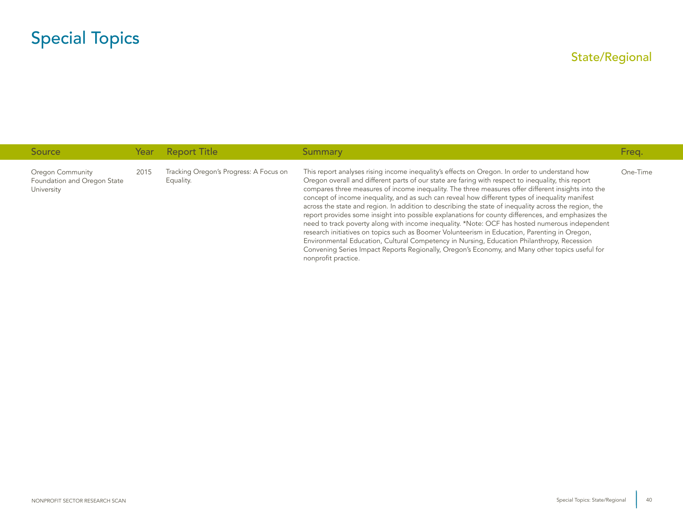| <b>Source</b>                                                 |      | Year Report Title                                   | Summary                                                                                                                                                                                                                                                                                                                                                                                                                                                                                                                                                                                                                                                                                                                                                                                                                                                                                                                                                                                                                                               | Freq.    |
|---------------------------------------------------------------|------|-----------------------------------------------------|-------------------------------------------------------------------------------------------------------------------------------------------------------------------------------------------------------------------------------------------------------------------------------------------------------------------------------------------------------------------------------------------------------------------------------------------------------------------------------------------------------------------------------------------------------------------------------------------------------------------------------------------------------------------------------------------------------------------------------------------------------------------------------------------------------------------------------------------------------------------------------------------------------------------------------------------------------------------------------------------------------------------------------------------------------|----------|
| Oregon Community<br>Foundation and Oregon State<br>University | 2015 | Tracking Oregon's Progress: A Focus on<br>Equality. | This report analyses rising income inequality's effects on Oregon. In order to understand how<br>Oregon overall and different parts of our state are faring with respect to inequality, this report<br>compares three measures of income inequality. The three measures offer different insights into the<br>concept of income inequality, and as such can reveal how different types of inequality manifest<br>across the state and region. In addition to describing the state of inequality across the region, the<br>report provides some insight into possible explanations for county differences, and emphasizes the<br>need to track poverty along with income inequality. *Note: OCF has hosted numerous independent<br>research initiatives on topics such as Boomer Volunteerism in Education, Parenting in Oregon,<br>Environmental Education, Cultural Competency in Nursing, Education Philanthropy, Recession<br>Convening Series Impact Reports Regionally, Oregon's Economy, and Many other topics useful for<br>nonprofit practice. | One-Time |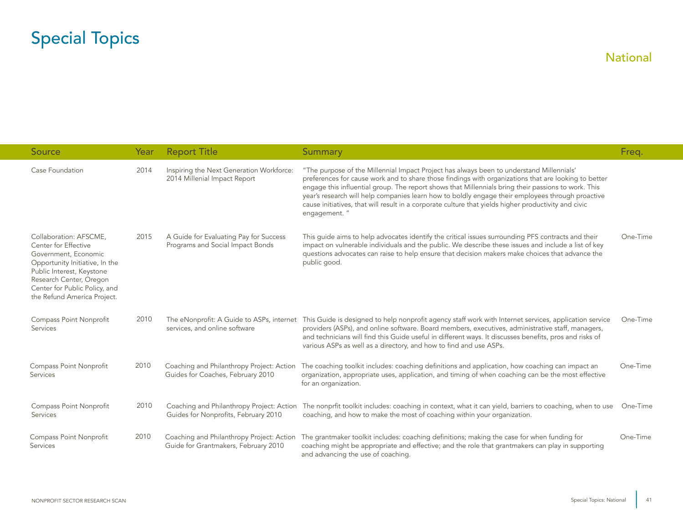<span id="page-41-0"></span>

| Source                                                                                                                                                                                                                           | Year | <b>Report Title</b>                                                               | Summary                                                                                                                                                                                                                                                                                                                                                                                                                                                                                                                             | Freq.    |
|----------------------------------------------------------------------------------------------------------------------------------------------------------------------------------------------------------------------------------|------|-----------------------------------------------------------------------------------|-------------------------------------------------------------------------------------------------------------------------------------------------------------------------------------------------------------------------------------------------------------------------------------------------------------------------------------------------------------------------------------------------------------------------------------------------------------------------------------------------------------------------------------|----------|
| Case Foundation                                                                                                                                                                                                                  | 2014 | Inspiring the Next Generation Workforce:<br>2014 Millenial Impact Report          | "The purpose of the Millennial Impact Project has always been to understand Millennials'<br>preferences for cause work and to share those findings with organizations that are looking to better<br>engage this influential group. The report shows that Millennials bring their passions to work. This<br>year's research will help companies learn how to boldly engage their employees through proactive<br>cause initiatives, that will result in a corporate culture that yields higher productivity and civic<br>engagement." |          |
| Collaboration: AFSCME,<br>Center for Effective<br>Government, Economic<br>Opportunity Initiative, In the<br>Public Interest, Keystone<br>Research Center, Oregon<br>Center for Public Policy, and<br>the Refund America Project. | 2015 | A Guide for Evaluating Pay for Success<br>Programs and Social Impact Bonds        | This guide aims to help advocates identify the critical issues surrounding PFS contracts and their<br>impact on vulnerable individuals and the public. We describe these issues and include a list of key<br>questions advocates can raise to help ensure that decision makers make choices that advance the<br>public good.                                                                                                                                                                                                        | One-Time |
| Compass Point Nonprofit<br><b>Services</b>                                                                                                                                                                                       | 2010 | The eNonprofit: A Guide to ASPs, internet<br>services, and online software        | This Guide is designed to help nonprofit agency staff work with Internet services, application service<br>providers (ASPs), and online software. Board members, executives, administrative staff, managers,<br>and technicians will find this Guide useful in different ways. It discusses benefits, pros and risks of<br>various ASPs as well as a directory, and how to find and use ASPs.                                                                                                                                        | One-Time |
| Compass Point Nonprofit<br>Services                                                                                                                                                                                              | 2010 | Coaching and Philanthropy Project: Action<br>Guides for Coaches, February 2010    | The coaching toolkit includes: coaching definitions and application, how coaching can impact an<br>organization, appropriate uses, application, and timing of when coaching can be the most effective<br>for an organization.                                                                                                                                                                                                                                                                                                       | One-Time |
| Compass Point Nonprofit<br><b>Services</b>                                                                                                                                                                                       | 2010 | Coaching and Philanthropy Project: Action<br>Guides for Nonprofits, February 2010 | The nonprfit toolkit includes: coaching in context, what it can yield, barriers to coaching, when to use<br>coaching, and how to make the most of coaching within your organization.                                                                                                                                                                                                                                                                                                                                                | One-Time |
| Compass Point Nonprofit<br>Services                                                                                                                                                                                              | 2010 | Coaching and Philanthropy Project: Action<br>Guide for Grantmakers, February 2010 | The grantmaker toolkit includes: coaching definitions; making the case for when funding for<br>coaching might be appropriate and effective; and the role that grantmakers can play in supporting<br>and advancing the use of coaching.                                                                                                                                                                                                                                                                                              | One-Time |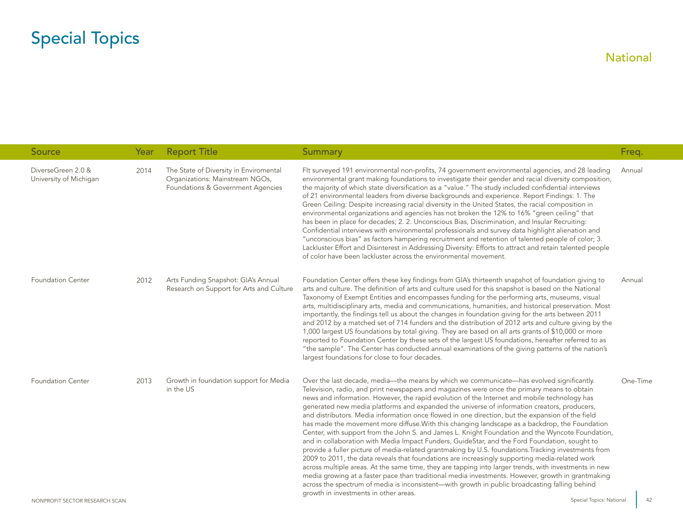| Source                                       | Year | <b>Report Title</b>                                                                                            | <b>Summary</b>                                                                                                                                                                                                                                                                                                                                                                                                                                                                                                                                                                                                                                                                                                                                                                                                                                                                                                                                                                                                                                                                                                                                                                                                                                                                                                                                                       | Freq.    |
|----------------------------------------------|------|----------------------------------------------------------------------------------------------------------------|----------------------------------------------------------------------------------------------------------------------------------------------------------------------------------------------------------------------------------------------------------------------------------------------------------------------------------------------------------------------------------------------------------------------------------------------------------------------------------------------------------------------------------------------------------------------------------------------------------------------------------------------------------------------------------------------------------------------------------------------------------------------------------------------------------------------------------------------------------------------------------------------------------------------------------------------------------------------------------------------------------------------------------------------------------------------------------------------------------------------------------------------------------------------------------------------------------------------------------------------------------------------------------------------------------------------------------------------------------------------|----------|
| DiverseGreen 2.0 &<br>University of Michigan | 2014 | The State of Diversity in Enviromental<br>Organizations: Mainstream NGOs,<br>Foundations & Government Agencies | FIt surveyed 191 environmental non-profits, 74 government environmental agencies, and 28 leading<br>environmental grant making foundations to investigate their gender and racial diversity composition,<br>the majority of which state diversification as a "value." The study included confidential interviews<br>of 21 environmental leaders from diverse backgrounds and experience. Report Findings: 1. The<br>Green Ceiling: Despite increasing racial diversity in the United States, the racial composition in<br>environmental organizations and agencies has not broken the 12% to 16% "green ceiling" that<br>has been in place for decades; 2. 2. Unconscious Bias, Discrimination, and Insular Recruiting:<br>Confidential interviews with environmental professionals and survey data highlight alienation and<br>"unconscious bias" as factors hampering recruitment and retention of talented people of color; 3.<br>Lackluster Effort and Disinterest in Addressing Diversity: Efforts to attract and retain talented people<br>of color have been lackluster across the environmental movement.                                                                                                                                                                                                                                                    | Annual   |
| <b>Foundation Center</b>                     | 2012 | Arts Funding Snapshot: GIA's Annual<br>Research on Support for Arts and Culture                                | Foundation Center offers these key findings from GIA's thirteenth snapshot of foundation giving to<br>arts and culture. The definition of arts and culture used for this snapshot is based on the National<br>Taxonomy of Exempt Entities and encompasses funding for the performing arts, museums, visual<br>arts, multidisciplinary arts, media and communications, humanities, and historical preservation. Most<br>importantly, the findings tell us about the changes in foundation giving for the arts between 2011<br>and 2012 by a matched set of 714 funders and the distribution of 2012 arts and culture giving by the<br>1,000 largest US foundations by total giving. They are based on all arts grants of \$10,000 or more<br>reported to Foundation Center by these sets of the largest US foundations, hereafter referred to as<br>"the sample". The Center has conducted annual examinations of the giving patterns of the nation's<br>largest foundations for close to four decades.                                                                                                                                                                                                                                                                                                                                                               | Annual   |
| <b>Foundation Center</b>                     | 2013 | Growth in foundation support for Media<br>in the US                                                            | Over the last decade, media-the means by which we communicate-has evolved significantly.<br>Television, radio, and print newspapers and magazines were once the primary means to obtain<br>news and information. However, the rapid evolution of the Internet and mobile technology has<br>generated new media platforms and expanded the universe of information creators, producers,<br>and distributors. Media information once flowed in one direction, but the expansion of the field<br>has made the movement more diffuse. With this changing landscape as a backdrop, the Foundation<br>Center, with support from the John S. and James L. Knight Foundation and the Wyncote Foundation,<br>and in collaboration with Media Impact Funders, GuideStar, and the Ford Foundation, sought to<br>provide a fuller picture of media-related grantmaking by U.S. foundations. Tracking investments from<br>2009 to 2011, the data reveals that foundations are increasingly supporting media-related work<br>across multiple areas. At the same time, they are tapping into larger trends, with investments in new<br>media growing at a faster pace than traditional media investments. However, growth in grantmaking<br>across the spectrum of media is inconsistent—with growth in public broadcasting falling behind<br>growth in investments in other areas. | One-Time |